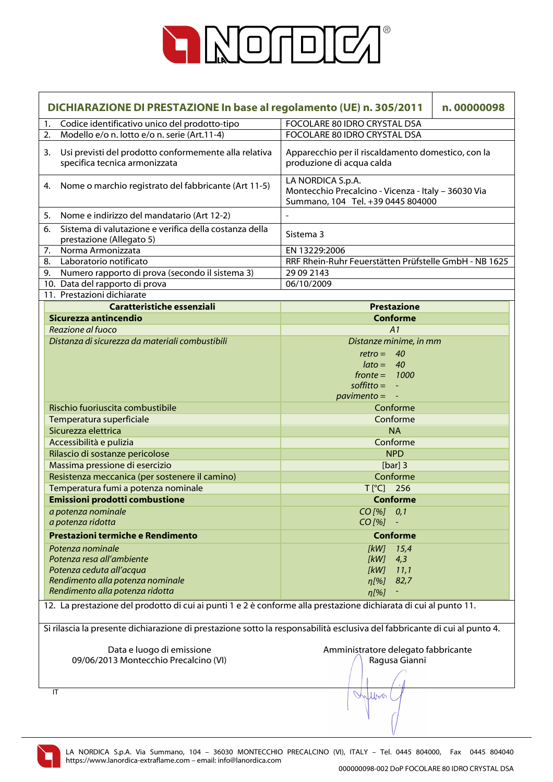

|                                                                                                                  | DICHIARAZIONE DI PRESTAZIONE In base al regolamento (UE) n. 305/2011<br>n.00000098                                        |                                                                                                               |  |  |
|------------------------------------------------------------------------------------------------------------------|---------------------------------------------------------------------------------------------------------------------------|---------------------------------------------------------------------------------------------------------------|--|--|
| 1.                                                                                                               | Codice identificativo unico del prodotto-tipo                                                                             | <b>FOCOLARE 80 IDRO CRYSTAL DSA</b>                                                                           |  |  |
| 2.                                                                                                               | Modello e/o n. lotto e/o n. serie (Art.11-4)                                                                              | FOCOLARE 80 IDRO CRYSTAL DSA                                                                                  |  |  |
| 3.                                                                                                               | Usi previsti del prodotto conformemente alla relativa<br>specifica tecnica armonizzata                                    | Apparecchio per il riscaldamento domestico, con la<br>produzione di acqua calda                               |  |  |
| 4.                                                                                                               | Nome o marchio registrato del fabbricante (Art 11-5)                                                                      | LA NORDICA S.p.A.<br>Montecchio Precalcino - Vicenza - Italy - 36030 Via<br>Summano, 104 Tel. +39 0445 804000 |  |  |
| 5.                                                                                                               | Nome e indirizzo del mandatario (Art 12-2)                                                                                | $\overline{\phantom{a}}$                                                                                      |  |  |
| 6.                                                                                                               | Sistema di valutazione e verifica della costanza della<br>prestazione (Allegato 5)                                        | Sistema 3                                                                                                     |  |  |
| 7.                                                                                                               | Norma Armonizzata                                                                                                         | EN 13229:2006                                                                                                 |  |  |
| 8.                                                                                                               | Laboratorio notificato                                                                                                    | RRF Rhein-Ruhr Feuerstätten Prüfstelle GmbH - NB 1625                                                         |  |  |
|                                                                                                                  | 9. Numero rapporto di prova (secondo il sistema 3)                                                                        | 29 09 2143                                                                                                    |  |  |
|                                                                                                                  | 10. Data del rapporto di prova                                                                                            | 06/10/2009                                                                                                    |  |  |
|                                                                                                                  | 11. Prestazioni dichiarate                                                                                                |                                                                                                               |  |  |
|                                                                                                                  | Caratteristiche essenziali                                                                                                | <b>Prestazione</b>                                                                                            |  |  |
|                                                                                                                  | Sicurezza antincendio                                                                                                     | <b>Conforme</b>                                                                                               |  |  |
|                                                                                                                  | Reazione al fuoco                                                                                                         | A1                                                                                                            |  |  |
|                                                                                                                  | Distanza di sicurezza da materiali combustibili                                                                           | Distanze minime, in mm                                                                                        |  |  |
|                                                                                                                  |                                                                                                                           | $retro = 40$                                                                                                  |  |  |
|                                                                                                                  |                                                                                                                           | $\text{lato} = 40$                                                                                            |  |  |
|                                                                                                                  |                                                                                                                           | $fronte = 1000$                                                                                               |  |  |
|                                                                                                                  |                                                                                                                           | $\text{soft}$ = $\overline{\phantom{a}}$                                                                      |  |  |
|                                                                                                                  |                                                                                                                           | $\frac{1}{2}$ pavimento = $-$                                                                                 |  |  |
|                                                                                                                  | Rischio fuoriuscita combustibile                                                                                          | Conforme                                                                                                      |  |  |
|                                                                                                                  | Temperatura superficiale                                                                                                  | Conforme                                                                                                      |  |  |
|                                                                                                                  | Sicurezza elettrica                                                                                                       | <b>NA</b>                                                                                                     |  |  |
|                                                                                                                  | Accessibilità e pulizia                                                                                                   | Conforme                                                                                                      |  |  |
|                                                                                                                  | Rilascio di sostanze pericolose                                                                                           | <b>NPD</b>                                                                                                    |  |  |
|                                                                                                                  | Massima pressione di esercizio                                                                                            | [ $bar]$ ] 3                                                                                                  |  |  |
|                                                                                                                  | Resistenza meccanica (per sostenere il camino)                                                                            | Conforme                                                                                                      |  |  |
|                                                                                                                  | Temperatura fumi a potenza nominale                                                                                       | $T[^{\circ}C]$ 256                                                                                            |  |  |
|                                                                                                                  | <b>Emissioni prodotti combustione</b>                                                                                     | <b>Conforme</b>                                                                                               |  |  |
|                                                                                                                  | a potenza nominale                                                                                                        | CO [%] 0,1                                                                                                    |  |  |
|                                                                                                                  | a potenza ridotta                                                                                                         | $CO$ [%]                                                                                                      |  |  |
|                                                                                                                  | Prestazioni termiche e Rendimento                                                                                         | <b>Conforme</b>                                                                                               |  |  |
|                                                                                                                  |                                                                                                                           |                                                                                                               |  |  |
|                                                                                                                  | Potenza nominale                                                                                                          | 15,4<br>[kW]                                                                                                  |  |  |
|                                                                                                                  | Potenza resa all'ambiente                                                                                                 | [kW]<br>4,3                                                                                                   |  |  |
|                                                                                                                  | Potenza ceduta all'acqua                                                                                                  | 11,1<br>[kW]                                                                                                  |  |  |
|                                                                                                                  | Rendimento alla potenza nominale<br>Rendimento alla potenza ridotta                                                       | 82,7<br>$\eta$ [%]                                                                                            |  |  |
|                                                                                                                  |                                                                                                                           | $\eta$ [%]                                                                                                    |  |  |
| 12. La prestazione del prodotto di cui ai punti 1 e 2 è conforme alla prestazione dichiarata di cui al punto 11. |                                                                                                                           |                                                                                                               |  |  |
|                                                                                                                  | Si rilascia la presente dichiarazione di prestazione sotto la responsabilità esclusiva del fabbricante di cui al punto 4. |                                                                                                               |  |  |
|                                                                                                                  | Data e luogo di emissione                                                                                                 | Amministratore delegato fabbricante                                                                           |  |  |
|                                                                                                                  | 09/06/2013 Montecchio Precalcino (VI)                                                                                     | Ragusa Gianni                                                                                                 |  |  |
|                                                                                                                  |                                                                                                                           |                                                                                                               |  |  |
|                                                                                                                  |                                                                                                                           |                                                                                                               |  |  |
| IT                                                                                                               |                                                                                                                           | Inflow                                                                                                        |  |  |
|                                                                                                                  |                                                                                                                           |                                                                                                               |  |  |

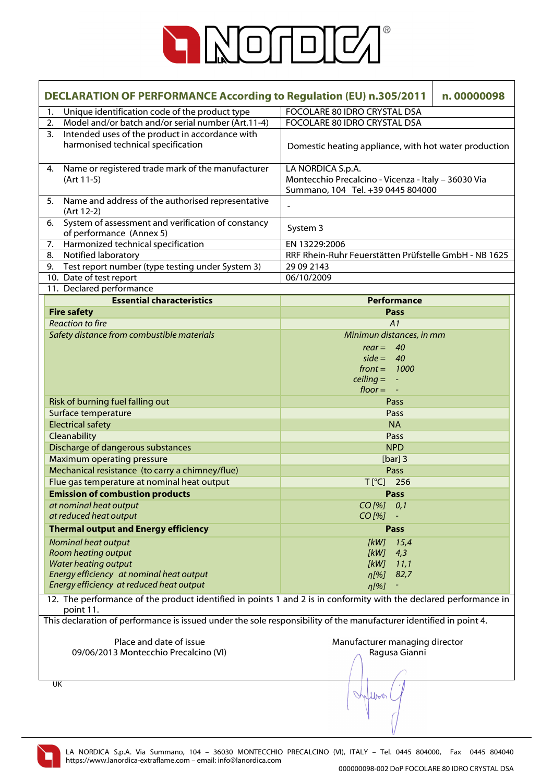

| <b>DECLARATION OF PERFORMANCE According to Regulation (EU) n.305/2011</b><br>n.00000098 |                                                                                                                                |                                                                                                               |  |
|-----------------------------------------------------------------------------------------|--------------------------------------------------------------------------------------------------------------------------------|---------------------------------------------------------------------------------------------------------------|--|
| 1.                                                                                      | Unique identification code of the product type                                                                                 | FOCOLARE 80 IDRO CRYSTAL DSA                                                                                  |  |
| 2.                                                                                      | Model and/or batch and/or serial number (Art.11-4)                                                                             | FOCOLARE 80 IDRO CRYSTAL DSA                                                                                  |  |
| 3.                                                                                      | Intended uses of the product in accordance with<br>harmonised technical specification                                          | Domestic heating appliance, with hot water production                                                         |  |
| 4.                                                                                      | Name or registered trade mark of the manufacturer<br>(Art 11-5)                                                                | LA NORDICA S.p.A.<br>Montecchio Precalcino - Vicenza - Italy - 36030 Via<br>Summano, 104 Tel. +39 0445 804000 |  |
| 5.                                                                                      | Name and address of the authorised representative<br>(Art 12-2)                                                                | $\overline{a}$                                                                                                |  |
| 6.                                                                                      | System of assessment and verification of constancy<br>of performance (Annex 5)                                                 | System 3                                                                                                      |  |
| 7.                                                                                      | Harmonized technical specification                                                                                             | EN 13229:2006                                                                                                 |  |
| 8.                                                                                      | Notified laboratory                                                                                                            | RRF Rhein-Ruhr Feuerstätten Prüfstelle GmbH - NB 1625                                                         |  |
| 9.                                                                                      | Test report number (type testing under System 3)                                                                               | 29 09 2143                                                                                                    |  |
|                                                                                         | 10. Date of test report                                                                                                        | 06/10/2009                                                                                                    |  |
|                                                                                         | 11. Declared performance                                                                                                       |                                                                                                               |  |
|                                                                                         | <b>Essential characteristics</b>                                                                                               | <b>Performance</b>                                                                                            |  |
|                                                                                         | <b>Fire safety</b>                                                                                                             | Pass                                                                                                          |  |
|                                                                                         | <b>Reaction to fire</b>                                                                                                        | A1                                                                                                            |  |
|                                                                                         | Safety distance from combustible materials                                                                                     | Minimun distances, in mm                                                                                      |  |
|                                                                                         |                                                                                                                                | $rear = 40$                                                                                                   |  |
|                                                                                         |                                                                                                                                | $side = 40$                                                                                                   |  |
|                                                                                         |                                                                                                                                | $front = 1000$                                                                                                |  |
|                                                                                         |                                                                                                                                | $\text{ceiling} = -$                                                                                          |  |
|                                                                                         |                                                                                                                                | $floor = -$                                                                                                   |  |
|                                                                                         | Risk of burning fuel falling out                                                                                               | Pass                                                                                                          |  |
|                                                                                         | Surface temperature                                                                                                            | Pass                                                                                                          |  |
|                                                                                         | <b>Electrical safety</b>                                                                                                       | <b>NA</b>                                                                                                     |  |
|                                                                                         | Cleanability                                                                                                                   | Pass                                                                                                          |  |
|                                                                                         | Discharge of dangerous substances                                                                                              | <b>NPD</b>                                                                                                    |  |
|                                                                                         | <b>Maximum operating pressure</b>                                                                                              | [ $bar]$ ] 3                                                                                                  |  |
|                                                                                         | Mechanical resistance (to carry a chimney/flue)                                                                                | Pass                                                                                                          |  |
|                                                                                         | Flue gas temperature at nominal heat output                                                                                    | T[°C] 256                                                                                                     |  |
|                                                                                         | <b>Emission of combustion products</b>                                                                                         | Pass                                                                                                          |  |
|                                                                                         | at nominal heat output                                                                                                         | CO [%] 0,1                                                                                                    |  |
|                                                                                         | at reduced heat output                                                                                                         | $CO$ [%]                                                                                                      |  |
|                                                                                         | <b>Thermal output and Energy efficiency</b>                                                                                    | Pass                                                                                                          |  |
|                                                                                         | Nominal heat output                                                                                                            | [kW]<br>15,4                                                                                                  |  |
|                                                                                         | <b>Room heating output</b>                                                                                                     | [kW]<br>4,3                                                                                                   |  |
|                                                                                         | <b>Water heating output</b>                                                                                                    | [kW]<br>11,1                                                                                                  |  |
|                                                                                         | Energy efficiency at nominal heat output                                                                                       | 82,7<br>$\eta$ [%]                                                                                            |  |
|                                                                                         | Energy efficiency at reduced heat output                                                                                       | n[%]                                                                                                          |  |
|                                                                                         | 12. The performance of the product identified in points 1 and 2 is in conformity with the declared performance in<br>point 11. |                                                                                                               |  |
|                                                                                         | This declaration of performance is issued under the sole responsibility of the manufacturer identified in point 4.             |                                                                                                               |  |
|                                                                                         |                                                                                                                                |                                                                                                               |  |
|                                                                                         | Place and date of issue                                                                                                        | Manufacturer managing director                                                                                |  |
|                                                                                         | 09/06/2013 Montecchio Precalcino (VI)                                                                                          | Ragusa Gianni                                                                                                 |  |
|                                                                                         |                                                                                                                                |                                                                                                               |  |
|                                                                                         |                                                                                                                                |                                                                                                               |  |
| UK                                                                                      |                                                                                                                                | Intern                                                                                                        |  |
|                                                                                         |                                                                                                                                |                                                                                                               |  |

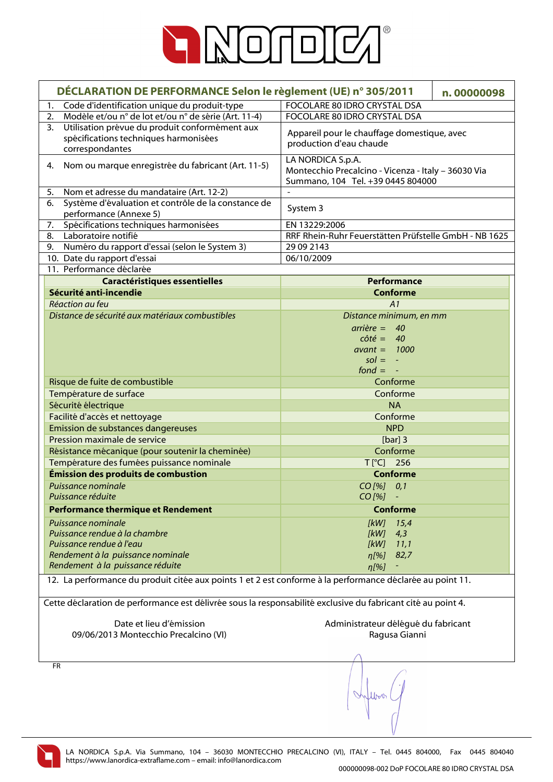

| DÉCLARATION DE PERFORMANCE Selon le règlement (UE) n° 305/2011<br>n.00000098                                 |                                                       |  |
|--------------------------------------------------------------------------------------------------------------|-------------------------------------------------------|--|
| Code d'identification unique du produit-type<br>1.                                                           | FOCOLARE 80 IDRO CRYSTAL DSA                          |  |
| Modèle et/ou n° de lot et/ou n° de série (Art. 11-4)<br>2.                                                   | FOCOLARE 80 IDRO CRYSTAL DSA                          |  |
| Utilisation prévue du produit conformément aux<br>3.                                                         |                                                       |  |
| spécifications techniques harmonisées                                                                        | Appareil pour le chauffage domestique, avec           |  |
| correspondantes                                                                                              | production d'eau chaude                               |  |
|                                                                                                              | LA NORDICA S.p.A.                                     |  |
| Nom ou marque enregistrée du fabricant (Art. 11-5)<br>4.                                                     | Montecchio Precalcino - Vicenza - Italy - 36030 Via   |  |
|                                                                                                              | Summano, 104 Tel. +39 0445 804000                     |  |
| Nom et adresse du mandataire (Art. 12-2)<br>5.                                                               |                                                       |  |
| Système d'évaluation et contrôle de la constance de<br>6.                                                    | System 3                                              |  |
| performance (Annexe 5)                                                                                       |                                                       |  |
| Spécifications techniques harmonisées<br>7.                                                                  | EN 13229:2006                                         |  |
| Laboratoire notifié<br>8.                                                                                    | RRF Rhein-Ruhr Feuerstätten Prüfstelle GmbH - NB 1625 |  |
| Numéro du rapport d'essai (selon le System 3)<br>9.                                                          | 29 09 2143                                            |  |
| 10. Date du rapport d'essai                                                                                  | 06/10/2009                                            |  |
| 11. Performance déclarée                                                                                     |                                                       |  |
| <b>Caractéristiques essentielles</b>                                                                         | <b>Performance</b>                                    |  |
| Sécurité anti-incendie                                                                                       | <b>Conforme</b>                                       |  |
| Réaction au feu                                                                                              | A1                                                    |  |
| Distance de sécurité aux matériaux combustibles                                                              | Distance minimum, en mm                               |  |
|                                                                                                              | $arrière = 40$                                        |  |
|                                                                                                              | $\cot\acute{e} = 40$                                  |  |
|                                                                                                              | $avant = 1000$                                        |  |
|                                                                                                              | $sol = -$<br>$fond = -$                               |  |
| Risque de fuite de combustible                                                                               | Conforme                                              |  |
| Température de surface                                                                                       | Conforme                                              |  |
|                                                                                                              |                                                       |  |
| Sécurité électrique<br><b>NA</b><br>Facilité d'accès et nettoyage<br>Conforme                                |                                                       |  |
| Emission de substances dangereuses<br><b>NPD</b>                                                             |                                                       |  |
| Pression maximale de service                                                                                 | [ $bar]$ ] 3                                          |  |
| Résistance mécanique (pour soutenir la cheminée)                                                             | Conforme                                              |  |
| Température des fumées puissance nominale                                                                    | T[°C] 256                                             |  |
| Émission des produits de combustion                                                                          | <b>Conforme</b>                                       |  |
| Puissance nominale                                                                                           | $CO$ [%] $0,1$                                        |  |
| Puissance réduite                                                                                            | $CO$ [%]                                              |  |
|                                                                                                              | <b>Conforme</b>                                       |  |
| <b>Performance thermique et Rendement</b>                                                                    |                                                       |  |
| Puissance nominale                                                                                           | [kW]<br>15,4                                          |  |
| Puissance rendue à la chambre<br>Puissance rendue à l'eau                                                    | [kW]<br>4,3<br>[kW]                                   |  |
| Rendement à la puissance nominale                                                                            | 11,1<br>82,7<br>$\eta$ [%]                            |  |
| Rendement à la puissance réduite                                                                             | n[%]                                                  |  |
| 12. La performance du produit citée aux points 1 et 2 est conforme à la performance déclarée au point 11.    |                                                       |  |
| Cette déclaration de performance est délivrée sous la responsabilité exclusive du fabricant cité au point 4. |                                                       |  |
|                                                                                                              |                                                       |  |
| Date et lieu d'émission                                                                                      | Administrateur délégué du fabricant                   |  |
| 09/06/2013 Montecchio Precalcino (VI)                                                                        | Ragusa Gianni                                         |  |
|                                                                                                              |                                                       |  |
|                                                                                                              |                                                       |  |
| <b>FR</b>                                                                                                    |                                                       |  |
|                                                                                                              |                                                       |  |

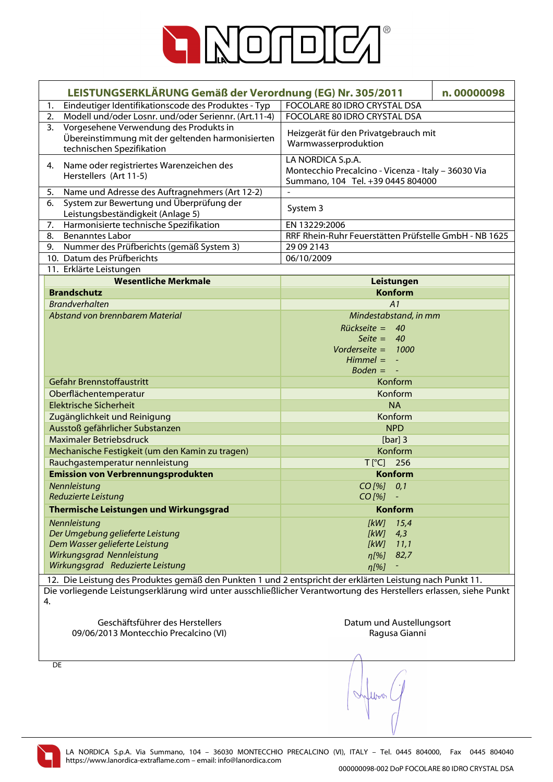

|    | LEISTUNGSERKLÄRUNG Gemäß der Verordnung (EG) Nr. 305/2011                                                               |                                                                                                               | n.00000098 |
|----|-------------------------------------------------------------------------------------------------------------------------|---------------------------------------------------------------------------------------------------------------|------------|
| 1. | Eindeutiger Identifikationscode des Produktes - Typ                                                                     | FOCOLARE 80 IDRO CRYSTAL DSA                                                                                  |            |
| 2. | <b>FOCOLARE 80 IDRO CRYSTAL DSA</b><br>Modell und/oder Losnr. und/oder Seriennr. (Art.11-4)                             |                                                                                                               |            |
| 3. | Vorgesehene Verwendung des Produkts in<br>Übereinstimmung mit der geltenden harmonisierten<br>technischen Spezifikation | Heizgerät für den Privatgebrauch mit<br>Warmwasserproduktion                                                  |            |
| 4. | Name oder registriertes Warenzeichen des<br>Herstellers (Art 11-5)                                                      | LA NORDICA S.p.A.<br>Montecchio Precalcino - Vicenza - Italy - 36030 Via<br>Summano, 104 Tel. +39 0445 804000 |            |
| 5. | Name und Adresse des Auftragnehmers (Art 12-2)                                                                          |                                                                                                               |            |
| 6. | System zur Bewertung und Überprüfung der<br>Leistungsbeständigkeit (Anlage 5)                                           | System 3                                                                                                      |            |
| 7. | Harmonisierte technische Spezifikation                                                                                  | EN 13229:2006                                                                                                 |            |
| 8. | <b>Benanntes Labor</b>                                                                                                  | RRF Rhein-Ruhr Feuerstätten Prüfstelle GmbH - NB 1625                                                         |            |
| 9. | Nummer des Prüfberichts (gemäß System 3)                                                                                | 29 09 2143                                                                                                    |            |
|    | 10. Datum des Prüfberichts                                                                                              | 06/10/2009                                                                                                    |            |
|    | 11. Erklärte Leistungen                                                                                                 |                                                                                                               |            |
|    | <b>Wesentliche Merkmale</b>                                                                                             | Leistungen                                                                                                    |            |
|    | <b>Brandschutz</b>                                                                                                      | <b>Konform</b>                                                                                                |            |
|    | <b>Brandverhalten</b>                                                                                                   | A1                                                                                                            |            |
|    | Abstand von brennbarem Material                                                                                         | Mindestabstand, in mm                                                                                         |            |
|    |                                                                                                                         | $Rückseite = 40$                                                                                              |            |
|    |                                                                                                                         | Seite = $40$                                                                                                  |            |
|    |                                                                                                                         | Vorderseite = $1000$                                                                                          |            |
|    |                                                                                                                         | $Himmel = -$                                                                                                  |            |
|    |                                                                                                                         | $Boden = -$                                                                                                   |            |
|    | Gefahr Brennstoffaustritt                                                                                               | Konform                                                                                                       |            |
|    | Oberflächentemperatur                                                                                                   | Konform                                                                                                       |            |
|    | <b>Elektrische Sicherheit</b>                                                                                           | <b>NA</b>                                                                                                     |            |
|    | Zugänglichkeit und Reinigung                                                                                            | Konform                                                                                                       |            |
|    | Ausstoß gefährlicher Substanzen<br><b>NPD</b>                                                                           |                                                                                                               |            |
|    | Maximaler Betriebsdruck                                                                                                 | [ $bar]$ ] 3                                                                                                  |            |
|    | Mechanische Festigkeit (um den Kamin zu tragen)                                                                         | Konform                                                                                                       |            |
|    | Rauchgastemperatur nennleistung                                                                                         | T[°C] 256                                                                                                     |            |
|    | <b>Emission von Verbrennungsprodukten</b>                                                                               | <b>Konform</b>                                                                                                |            |
|    | Nennleistung                                                                                                            | CO [%] 0,1                                                                                                    |            |
|    | Reduzierte Leistung                                                                                                     | $CO$ [%]                                                                                                      |            |
|    | Thermische Leistungen und Wirkungsgrad                                                                                  | <b>Konform</b>                                                                                                |            |
|    | Nennleistung                                                                                                            | [kW]<br>15,4                                                                                                  |            |
|    | Der Umgebung gelieferte Leistung                                                                                        | 4,3<br>[kW]                                                                                                   |            |
|    | Dem Wasser gelieferte Leistung                                                                                          | [kW]<br>11,1                                                                                                  |            |
|    | Wirkungsgrad Nennleistung                                                                                               | 82,7<br>$\eta$ [%]                                                                                            |            |
|    | Wirkungsgrad Reduzierte Leistung                                                                                        | $\eta$ [%]                                                                                                    |            |
|    | 12. Die Leistung des Produktes gemäß den Punkten 1 und 2 entspricht der erklärten Leistung nach Punkt 11.               |                                                                                                               |            |
|    | Die vorliegende Leistungserklärung wird unter ausschließlicher Verantwortung des Herstellers erlassen, siehe Punkt      |                                                                                                               |            |
| 4. |                                                                                                                         |                                                                                                               |            |
|    |                                                                                                                         |                                                                                                               |            |
|    | Geschäftsführer des Herstellers                                                                                         | Datum und Austellungsort                                                                                      |            |
|    | 09/06/2013 Montecchio Precalcino (VI)                                                                                   | Ragusa Gianni                                                                                                 |            |
|    |                                                                                                                         |                                                                                                               |            |
|    |                                                                                                                         |                                                                                                               |            |
| DE |                                                                                                                         |                                                                                                               |            |
|    |                                                                                                                         |                                                                                                               |            |
|    |                                                                                                                         |                                                                                                               |            |
|    |                                                                                                                         |                                                                                                               |            |
|    |                                                                                                                         |                                                                                                               |            |
|    |                                                                                                                         |                                                                                                               |            |

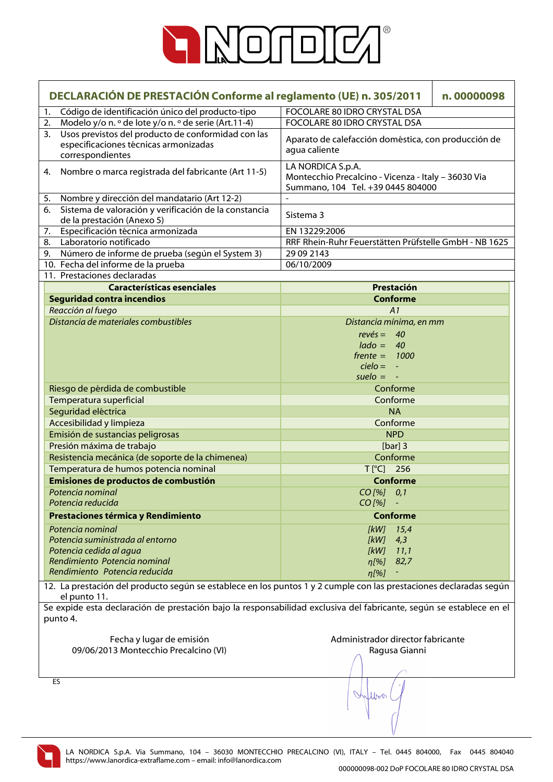

| DECLARACIÓN DE PRESTACIÓN Conforme al reglamento (UE) n. 305/2011<br>n.00000098 |                                                                                                                                 |                                                                                                                            |  |  |
|---------------------------------------------------------------------------------|---------------------------------------------------------------------------------------------------------------------------------|----------------------------------------------------------------------------------------------------------------------------|--|--|
| 1.                                                                              | Código de identificación único del producto-tipo                                                                                | FOCOLARE 80 IDRO CRYSTAL DSA                                                                                               |  |  |
| 2.                                                                              | Modelo y/o n. º de lote y/o n. º de serie (Art.11-4)                                                                            | FOCOLARE 80 IDRO CRYSTAL DSA                                                                                               |  |  |
| 3.                                                                              | Usos previstos del producto de conformidad con las<br>especificaciones técnicas armonizadas<br>correspondientes                 | Aparato de calefacción doméstica, con producción de<br>agua caliente                                                       |  |  |
| 4.                                                                              | Nombre o marca registrada del fabricante (Art 11-5)                                                                             | LA NORDICA S.p.A.<br>Montecchio Precalcino - Vicenza - Italy - 36030 Via<br>Summano, 104 Tel. +39 0445 804000              |  |  |
| 5.                                                                              | Nombre y dirección del mandatario (Art 12-2)                                                                                    | $\overline{a}$                                                                                                             |  |  |
| 6.                                                                              | Sistema de valoración y verificación de la constancia<br>de la prestación (Anexo 5)                                             | Sistema 3                                                                                                                  |  |  |
| 7.                                                                              | Especificación técnica armonizada                                                                                               | EN 13229:2006                                                                                                              |  |  |
| 8.                                                                              | Laboratorio notificado                                                                                                          | RRF Rhein-Ruhr Feuerstätten Prüfstelle GmbH - NB 1625                                                                      |  |  |
| 9.                                                                              | Número de informe de prueba (según el System 3)                                                                                 | 29 09 2143                                                                                                                 |  |  |
|                                                                                 | 10. Fecha del informe de la prueba                                                                                              | 06/10/2009                                                                                                                 |  |  |
|                                                                                 | 11. Prestaciones declaradas                                                                                                     |                                                                                                                            |  |  |
|                                                                                 | <b>Características esenciales</b>                                                                                               | Prestación                                                                                                                 |  |  |
|                                                                                 | <b>Seguridad contra incendios</b>                                                                                               | <b>Conforme</b>                                                                                                            |  |  |
|                                                                                 | Reacción al fuego                                                                                                               | A1                                                                                                                         |  |  |
|                                                                                 | Distancia de materiales combustibles                                                                                            | Distancia mínima, en mm                                                                                                    |  |  |
|                                                                                 |                                                                                                                                 | $rev\acute{e}s = 40$                                                                                                       |  |  |
|                                                                                 |                                                                                                                                 | $lado = 40$                                                                                                                |  |  |
|                                                                                 |                                                                                                                                 | $f$ rente = 1000                                                                                                           |  |  |
|                                                                                 |                                                                                                                                 | $cielo = -$                                                                                                                |  |  |
|                                                                                 |                                                                                                                                 | $suelo = -$                                                                                                                |  |  |
|                                                                                 | Riesgo de pérdida de combustible                                                                                                | Conforme                                                                                                                   |  |  |
|                                                                                 | Temperatura superficial                                                                                                         | Conforme                                                                                                                   |  |  |
|                                                                                 | Seguridad eléctrica                                                                                                             | <b>NA</b>                                                                                                                  |  |  |
|                                                                                 | Accesibilidad y limpieza                                                                                                        | Conforme                                                                                                                   |  |  |
|                                                                                 | Emisión de sustancias peligrosas<br><b>NPD</b>                                                                                  |                                                                                                                            |  |  |
|                                                                                 | Presión máxima de trabajo                                                                                                       | [ $bar]$ ] 3                                                                                                               |  |  |
|                                                                                 | Resistencia mecánica (de soporte de la chimenea)                                                                                | Conforme                                                                                                                   |  |  |
|                                                                                 | Temperatura de humos potencia nominal                                                                                           | T[°C] 256                                                                                                                  |  |  |
|                                                                                 | Emisiones de productos de combustión                                                                                            | <b>Conforme</b>                                                                                                            |  |  |
|                                                                                 | Potencia nominal                                                                                                                | CO [%] 0,1                                                                                                                 |  |  |
|                                                                                 | Potencia reducida                                                                                                               | $CO$ [%]                                                                                                                   |  |  |
|                                                                                 | Prestaciones térmica y Rendimiento                                                                                              | <b>Conforme</b>                                                                                                            |  |  |
|                                                                                 |                                                                                                                                 |                                                                                                                            |  |  |
|                                                                                 | Potencia nominal                                                                                                                | [kW]<br>15,4                                                                                                               |  |  |
|                                                                                 | Potencia suministrada al entorno                                                                                                | [kW]<br>4,3                                                                                                                |  |  |
|                                                                                 | Potencia cedida al agua<br>Rendimiento Potencia nominal                                                                         | [kW]<br>11,1                                                                                                               |  |  |
|                                                                                 | Rendimiento Potencia reducida                                                                                                   | 82,7<br>n[%]                                                                                                               |  |  |
|                                                                                 |                                                                                                                                 | n[%]<br>12. La prestación del producto según se establece en los puntos 1 y 2 cumple con las prestaciones declaradas según |  |  |
|                                                                                 | el punto 11.                                                                                                                    |                                                                                                                            |  |  |
|                                                                                 | Se expide esta declaración de prestación bajo la responsabilidad exclusiva del fabricante, según se establece en el<br>punto 4. |                                                                                                                            |  |  |
|                                                                                 | Fecha y lugar de emisión                                                                                                        | Administrador director fabricante                                                                                          |  |  |
|                                                                                 | 09/06/2013 Montecchio Precalcino (VI)                                                                                           | Ragusa Gianni                                                                                                              |  |  |
|                                                                                 |                                                                                                                                 |                                                                                                                            |  |  |
|                                                                                 |                                                                                                                                 |                                                                                                                            |  |  |
|                                                                                 | ES                                                                                                                              | Willow                                                                                                                     |  |  |
|                                                                                 |                                                                                                                                 |                                                                                                                            |  |  |

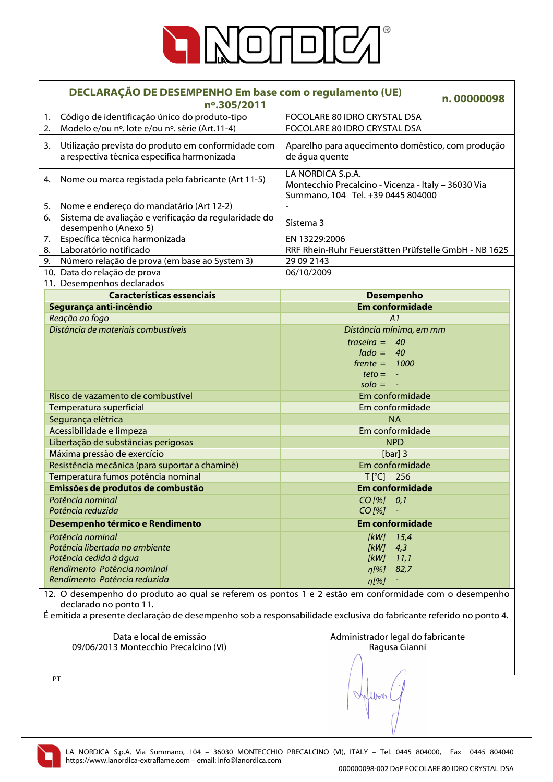

| DECLARAÇÃO DE DESEMPENHO Em base com o regulamento (UE)<br>nº.305/2011                                                          |                                                                                                               | n.00000098 |  |
|---------------------------------------------------------------------------------------------------------------------------------|---------------------------------------------------------------------------------------------------------------|------------|--|
| Código de identificação único do produto-tipo<br>1.                                                                             | FOCOLARE 80 IDRO CRYSTAL DSA                                                                                  |            |  |
| Modelo e/ou nº. lote e/ou nº. série (Art.11-4)<br>2.                                                                            | FOCOLARE 80 IDRO CRYSTAL DSA                                                                                  |            |  |
| Utilização prevista do produto em conformidade com<br>3.<br>a respectiva técnica especifica harmonizada                         | Aparelho para aquecimento doméstico, com produção<br>de água quente                                           |            |  |
| Nome ou marca registada pelo fabricante (Art 11-5)<br>4.                                                                        | LA NORDICA S.p.A.<br>Montecchio Precalcino - Vicenza - Italy - 36030 Via<br>Summano, 104 Tel. +39 0445 804000 |            |  |
| Nome e endereço do mandatário (Art 12-2)<br>5.                                                                                  | $\overline{a}$                                                                                                |            |  |
| Sistema de avaliação e verificação da regularidade do<br>6.<br>desempenho (Anexo 5)                                             | Sistema 3                                                                                                     |            |  |
| Específica técnica harmonizada<br>7.                                                                                            | EN 13229:2006                                                                                                 |            |  |
| Laboratório notificado<br>8.                                                                                                    | RRF Rhein-Ruhr Feuerstätten Prüfstelle GmbH - NB 1625                                                         |            |  |
| Número relação de prova (em base ao System 3)<br>9.                                                                             | 29 09 2143                                                                                                    |            |  |
| 10. Data do relação de prova                                                                                                    | 06/10/2009                                                                                                    |            |  |
| 11. Desempenhos declarados                                                                                                      |                                                                                                               |            |  |
| <b>Características essenciais</b>                                                                                               | <b>Desempenho</b>                                                                                             |            |  |
| Segurança anti-incêndio                                                                                                         | <b>Em conformidade</b>                                                                                        |            |  |
| Reação ao fogo                                                                                                                  | A1                                                                                                            |            |  |
| Distância de materiais combustíveis                                                                                             | Distância mínima, em mm                                                                                       |            |  |
|                                                                                                                                 | traseira = $40$                                                                                               |            |  |
|                                                                                                                                 | $lado = 40$                                                                                                   |            |  |
|                                                                                                                                 | $f$ rente = 1000                                                                                              |            |  |
|                                                                                                                                 | $teto = -$                                                                                                    |            |  |
|                                                                                                                                 | $\mathsf{solo} = -$                                                                                           |            |  |
| Risco de vazamento de combustível                                                                                               | Em conformidade                                                                                               |            |  |
| Temperatura superficial                                                                                                         | Em conformidade                                                                                               |            |  |
| Segurança elétrica                                                                                                              | <b>NA</b>                                                                                                     |            |  |
| Acessibilidade e limpeza                                                                                                        | Em conformidade                                                                                               |            |  |
| Libertação de substâncias perigosas                                                                                             | <b>NPD</b>                                                                                                    |            |  |
| Máxima pressão de exercício                                                                                                     | [ $bar]$ ] 3                                                                                                  |            |  |
| Resistência mecânica (para suportar a chaminé)                                                                                  | Em conformidade                                                                                               |            |  |
| Temperatura fumos potência nominal                                                                                              | $T[^{\circ}C]$ 256                                                                                            |            |  |
| Emissões de produtos de combustão                                                                                               | <b>Em conformidade</b>                                                                                        |            |  |
| Potência nominal                                                                                                                | $CO$ [%] $0,1$                                                                                                |            |  |
| Potência reduzida                                                                                                               | $CO$ [%]                                                                                                      |            |  |
| Desempenho térmico e Rendimento                                                                                                 | <b>Em conformidade</b>                                                                                        |            |  |
| Potência nominal                                                                                                                | $[kW]$ 15,4                                                                                                   |            |  |
| Potência libertada no ambiente                                                                                                  | [kW]<br>4,3                                                                                                   |            |  |
| Potência cedida à água                                                                                                          | 11,1<br>[kW]                                                                                                  |            |  |
| Rendimento Potência nominal                                                                                                     | 82,7<br>$n[\%]$                                                                                               |            |  |
| Rendimento Potência reduzida                                                                                                    | $\eta$ [%]                                                                                                    |            |  |
| 12. O desempenho do produto ao qual se referem os pontos 1 e 2 estão em conformidade com o desempenho<br>declarado no ponto 11. |                                                                                                               |            |  |
| É emitida a presente declaração de desempenho sob a responsabilidade exclusiva do fabricante referido no ponto 4.               |                                                                                                               |            |  |
|                                                                                                                                 |                                                                                                               |            |  |
| Data e local de emissão                                                                                                         | Administrador legal do fabricante                                                                             |            |  |
| 09/06/2013 Montecchio Precalcino (VI)                                                                                           | Ragusa Gianni                                                                                                 |            |  |
|                                                                                                                                 |                                                                                                               |            |  |
|                                                                                                                                 |                                                                                                               |            |  |
| PT                                                                                                                              | Inflow                                                                                                        |            |  |

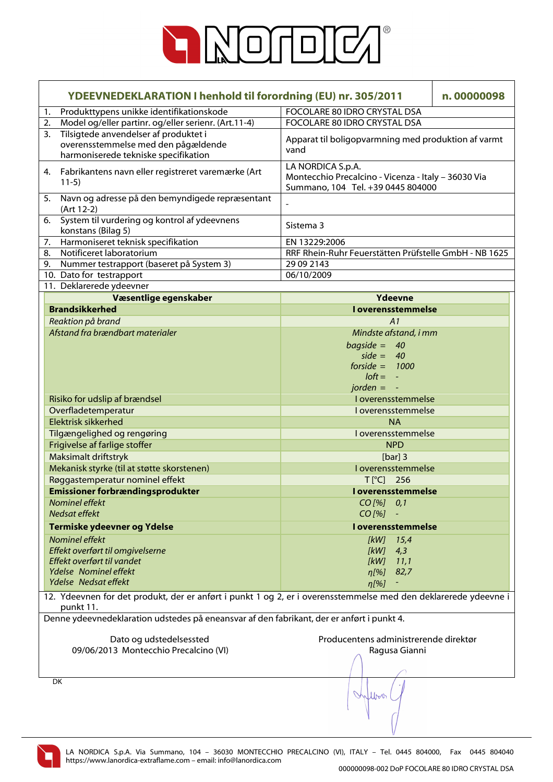

| YDEEVNEDEKLARATION I henhold til forordning (EU) nr. 305/2011                                                                | n.00000098                                                                                                    |  |  |
|------------------------------------------------------------------------------------------------------------------------------|---------------------------------------------------------------------------------------------------------------|--|--|
| Produkttypens unikke identifikationskode<br>1.                                                                               |                                                                                                               |  |  |
| Model og/eller partinr. og/eller serienr. (Art.11-4)<br>2.                                                                   | FOCOLARE 80 IDRO CRYSTAL DSA                                                                                  |  |  |
| Tilsigtede anvendelser af produktet i<br>3.<br>overensstemmelse med den pågældende<br>harmoniserede tekniske specifikation   | Apparat til boligopvarmning med produktion af varmt<br>vand                                                   |  |  |
| 4. Fabrikantens navn eller registreret varemærke (Art<br>$11-5)$                                                             | LA NORDICA S.p.A.<br>Montecchio Precalcino - Vicenza - Italy - 36030 Via<br>Summano, 104 Tel. +39 0445 804000 |  |  |
| Navn og adresse på den bemyndigede repræsentant<br>5.<br>(Art 12-2)                                                          |                                                                                                               |  |  |
| System til vurdering og kontrol af ydeevnens<br>6.<br>konstans (Bilag 5)                                                     | Sistema 3                                                                                                     |  |  |
| Harmoniseret teknisk specifikation<br>7.                                                                                     | EN 13229:2006                                                                                                 |  |  |
| Notificeret laboratorium<br>8.                                                                                               | RRF Rhein-Ruhr Feuerstätten Prüfstelle GmbH - NB 1625                                                         |  |  |
| 9.<br>Nummer testrapport (baseret på System 3)                                                                               | 29 09 2143                                                                                                    |  |  |
| 10. Dato for testrapport                                                                                                     | 06/10/2009                                                                                                    |  |  |
| 11. Deklarerede ydeevner                                                                                                     |                                                                                                               |  |  |
| Væsentlige egenskaber                                                                                                        | Ydeevne                                                                                                       |  |  |
| <b>Brandsikkerhed</b>                                                                                                        | I overensstemmelse                                                                                            |  |  |
| Reaktion på brand                                                                                                            | A1                                                                                                            |  |  |
| Afstand fra brændbart materialer                                                                                             | Mindste afstand, i mm                                                                                         |  |  |
|                                                                                                                              | bagside = $40$                                                                                                |  |  |
|                                                                                                                              | side = $40$                                                                                                   |  |  |
|                                                                                                                              | forside = $1000$                                                                                              |  |  |
|                                                                                                                              | $I$ oft = $-$                                                                                                 |  |  |
|                                                                                                                              | jorden $= -$                                                                                                  |  |  |
| Risiko for udslip af brændsel<br>I overensstemmelse                                                                          |                                                                                                               |  |  |
| Overfladetemperatur                                                                                                          | I overensstemmelse                                                                                            |  |  |
| <b>Elektrisk sikkerhed</b><br><b>NA</b>                                                                                      |                                                                                                               |  |  |
| Tilgængelighed og rengøring                                                                                                  | I overensstemmelse                                                                                            |  |  |
| Frigivelse af farlige stoffer                                                                                                | <b>NPD</b>                                                                                                    |  |  |
| Maksimalt driftstryk                                                                                                         | [ $bar]$ ] 3                                                                                                  |  |  |
| Mekanisk styrke (til at støtte skorstenen)                                                                                   | I overensstemmelse                                                                                            |  |  |
| Røggastemperatur nominel effekt                                                                                              | $T[^{\circ}C]$<br>256                                                                                         |  |  |
| <b>Emissioner forbrændingsprodukter</b>                                                                                      | I overensstemmelse                                                                                            |  |  |
| Nominel effekt                                                                                                               | CO [%] 0,1                                                                                                    |  |  |
| Nedsat effekt                                                                                                                | CO [%]                                                                                                        |  |  |
| Termiske ydeevner og Ydelse                                                                                                  | I overensstemmelse                                                                                            |  |  |
| Nominel effekt                                                                                                               | [kW]<br>15,4                                                                                                  |  |  |
| Effekt overført til omgivelserne                                                                                             | [kW]<br>4,3                                                                                                   |  |  |
| Effekt overført til vandet                                                                                                   | [kW]<br>11,1                                                                                                  |  |  |
| <b>Ydelse</b> Nominel effekt                                                                                                 | 82,7<br>$\eta$ [%]                                                                                            |  |  |
| Ydelse Nedsat effekt                                                                                                         | $\eta$ [%]                                                                                                    |  |  |
| 12. Ydeevnen for det produkt, der er anført i punkt 1 og 2, er i overensstemmelse med den deklarerede ydeevne i<br>punkt 11. |                                                                                                               |  |  |
| Denne ydeevnedeklaration udstedes på eneansvar af den fabrikant, der er anført i punkt 4.                                    |                                                                                                               |  |  |
|                                                                                                                              |                                                                                                               |  |  |
| Dato og udstedelsessted                                                                                                      | Producentens administrerende direktør                                                                         |  |  |
| 09/06/2013 Montecchio Precalcino (VI)                                                                                        | Ragusa Gianni                                                                                                 |  |  |
|                                                                                                                              |                                                                                                               |  |  |
| DK                                                                                                                           | Which                                                                                                         |  |  |
|                                                                                                                              |                                                                                                               |  |  |

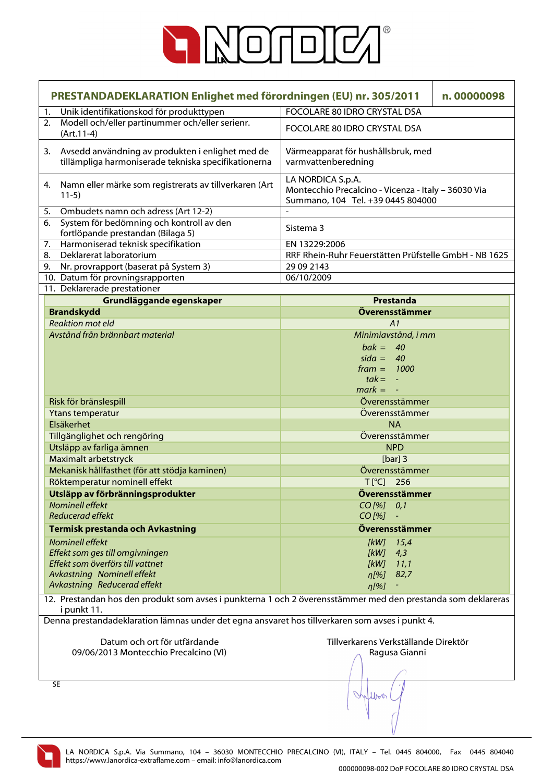

| PRESTANDADEKLARATION Enlighet med förordningen (EU) nr. 305/2011                                                            | n.00000098                                                                                                    |  |  |
|-----------------------------------------------------------------------------------------------------------------------------|---------------------------------------------------------------------------------------------------------------|--|--|
| Unik identifikationskod för produkttypen<br>1.                                                                              | FOCOLARE 80 IDRO CRYSTAL DSA                                                                                  |  |  |
| Modell och/eller partinummer och/eller serienr.<br>2.<br>$(Art.11-4)$                                                       | FOCOLARE 80 IDRO CRYSTAL DSA                                                                                  |  |  |
| Avsedd användning av produkten i enlighet med de<br>3.<br>tillämpliga harmoniserade tekniska specifikationerna              | Värmeapparat för hushållsbruk, med<br>varmvattenberedning                                                     |  |  |
| Namn eller märke som registrerats av tillverkaren (Art<br>4.<br>$11-5)$                                                     | LA NORDICA S.p.A.<br>Montecchio Precalcino - Vicenza - Italy - 36030 Via<br>Summano, 104 Tel. +39 0445 804000 |  |  |
| Ombudets namn och adress (Art 12-2)<br>5.                                                                                   |                                                                                                               |  |  |
| System för bedömning och kontroll av den<br>6.<br>fortlöpande prestandan (Bilaga 5)                                         | Sistema 3                                                                                                     |  |  |
| Harmoniserad teknisk specifikation<br>7.                                                                                    | EN 13229:2006                                                                                                 |  |  |
| Deklarerat laboratorium<br>8.                                                                                               | RRF Rhein-Ruhr Feuerstätten Prüfstelle GmbH - NB 1625                                                         |  |  |
| Nr. provrapport (baserat på System 3)<br>9.                                                                                 | 29 09 2143                                                                                                    |  |  |
| 10. Datum för provningsrapporten                                                                                            | 06/10/2009                                                                                                    |  |  |
| 11. Deklarerade prestationer                                                                                                |                                                                                                               |  |  |
| Grundläggande egenskaper                                                                                                    | Prestanda                                                                                                     |  |  |
| <b>Brandskydd</b>                                                                                                           | Överensstämmer                                                                                                |  |  |
| <b>Reaktion mot eld</b>                                                                                                     | A1                                                                                                            |  |  |
| Avstånd från brännbart material                                                                                             | Minimiavstånd, i mm                                                                                           |  |  |
|                                                                                                                             | $bak = 40$                                                                                                    |  |  |
|                                                                                                                             | $sida = 40$                                                                                                   |  |  |
|                                                                                                                             | $frame = 1000$                                                                                                |  |  |
|                                                                                                                             | $tak = -$                                                                                                     |  |  |
|                                                                                                                             | $mark = -$                                                                                                    |  |  |
| Överensstämmer<br>Risk för bränslespill                                                                                     |                                                                                                               |  |  |
| Ytans temperatur<br>Överensstämmer                                                                                          |                                                                                                               |  |  |
| Elsäkerhet<br><b>NA</b>                                                                                                     |                                                                                                               |  |  |
| Tillgänglighet och rengöring                                                                                                | Överensstämmer                                                                                                |  |  |
| Utsläpp av farliga ämnen                                                                                                    | <b>NPD</b>                                                                                                    |  |  |
| Maximalt arbetstryck                                                                                                        | [ $bar]$ ] 3                                                                                                  |  |  |
| Mekanisk hållfasthet (för att stödja kaminen)                                                                               | Överensstämmer                                                                                                |  |  |
| Röktemperatur nominell effekt                                                                                               | $T[^{\circ}C]$ 256                                                                                            |  |  |
| Utsläpp av förbränningsprodukter                                                                                            | Överensstämmer                                                                                                |  |  |
| Nominell effekt<br>Reducerad effekt                                                                                         | CO [%] 0,1<br>$CO$ [%]                                                                                        |  |  |
| <b>Termisk prestanda och Avkastning</b>                                                                                     | Överensstämmer                                                                                                |  |  |
| Nominell effekt                                                                                                             | $[kW]$ 15,4                                                                                                   |  |  |
| Effekt som ges till omgivningen                                                                                             | [kW]<br>4,3                                                                                                   |  |  |
| Effekt som överförs till vattnet                                                                                            | [kW]<br>11,1                                                                                                  |  |  |
| <b>Avkastning Nominell effekt</b>                                                                                           | 82,7<br>$\eta$ [%]                                                                                            |  |  |
| Avkastning Reducerad effekt                                                                                                 | $\eta$ [%]                                                                                                    |  |  |
| 12. Prestandan hos den produkt som avses i punkterna 1 och 2 överensstämmer med den prestanda som deklareras<br>i punkt 11. |                                                                                                               |  |  |
| Denna prestandadeklaration lämnas under det egna ansvaret hos tillverkaren som avses i punkt 4.                             |                                                                                                               |  |  |
|                                                                                                                             |                                                                                                               |  |  |
| Datum och ort för utfärdande                                                                                                | Tillverkarens Verkställande Direktör                                                                          |  |  |
| 09/06/2013 Montecchio Precalcino (VI)                                                                                       | Ragusa Gianni                                                                                                 |  |  |
|                                                                                                                             |                                                                                                               |  |  |
|                                                                                                                             |                                                                                                               |  |  |
| <b>SE</b>                                                                                                                   | Willow                                                                                                        |  |  |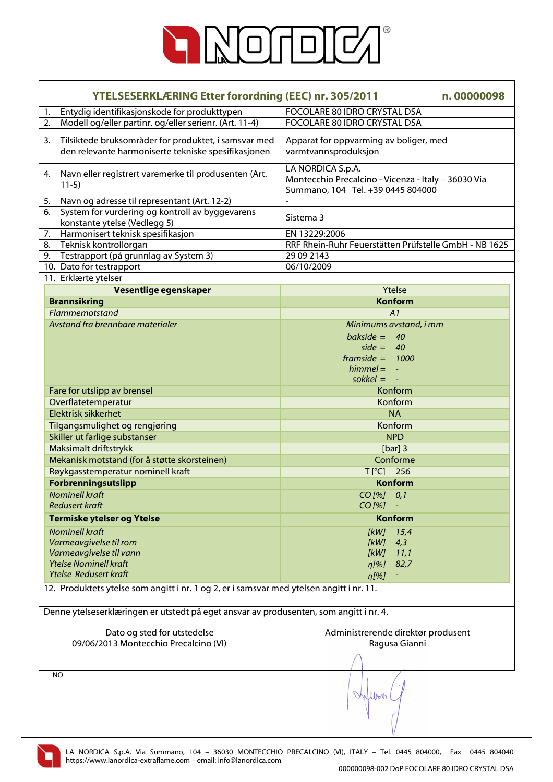

| <b>YTELSESERKLÆRING Etter forordning (EEC) nr. 305/2011</b>                                                       | n.00000098                                                                                                    |  |  |  |
|-------------------------------------------------------------------------------------------------------------------|---------------------------------------------------------------------------------------------------------------|--|--|--|
| Entydig identifikasjonskode for produkttypen<br>1.                                                                | FOCOLARE 80 IDRO CRYSTAL DSA                                                                                  |  |  |  |
| Modell og/eller partinr. og/eller serienr. (Art. 11-4)<br>2.                                                      | FOCOLARE 80 IDRO CRYSTAL DSA                                                                                  |  |  |  |
| Tilsiktede bruksområder for produktet, i samsvar med<br>3.<br>den relevante harmoniserte tekniske spesifikasjonen | Apparat for oppvarming av boliger, med<br>varmtvannsproduksjon                                                |  |  |  |
| Navn eller registrert varemerke til produsenten (Art.<br>4.<br>$11-5)$                                            | LA NORDICA S.p.A.<br>Montecchio Precalcino - Vicenza - Italy - 36030 Via<br>Summano, 104 Tel. +39 0445 804000 |  |  |  |
| Navn og adresse til representant (Art. 12-2)<br>5.                                                                |                                                                                                               |  |  |  |
| System for vurdering og kontroll av byggevarens<br>6.<br>konstante ytelse (Vedlegg 5)                             | Sistema 3                                                                                                     |  |  |  |
| Harmonisert teknisk spesifikasjon<br>7.                                                                           | EN 13229:2006                                                                                                 |  |  |  |
| 8.<br>Teknisk kontrollorgan                                                                                       | RRF Rhein-Ruhr Feuerstätten Prüfstelle GmbH - NB 1625                                                         |  |  |  |
| Testrapport (på grunnlag av System 3)<br>9.                                                                       | 29 09 2143                                                                                                    |  |  |  |
| 10. Dato for testrapport                                                                                          | 06/10/2009                                                                                                    |  |  |  |
| 11. Erklærte ytelser                                                                                              |                                                                                                               |  |  |  |
| Vesentlige egenskaper                                                                                             | Ytelse                                                                                                        |  |  |  |
| <b>Brannsikring</b>                                                                                               | <b>Konform</b>                                                                                                |  |  |  |
| Flammemotstand                                                                                                    | A1                                                                                                            |  |  |  |
| Avstand fra brennbare materialer                                                                                  | Minimums avstand, i mm<br>bakside = $40$<br>side = $40$<br>framside = $1000$<br>$himmel = -$<br>sokkel = $-$  |  |  |  |
| Fare for utslipp av brensel                                                                                       | Konform                                                                                                       |  |  |  |
| Overflatetemperatur                                                                                               | Konform                                                                                                       |  |  |  |
| Elektrisk sikkerhet                                                                                               | <b>NA</b>                                                                                                     |  |  |  |
| Tilgangsmulighet og rengjøring                                                                                    | Konform                                                                                                       |  |  |  |
| Skiller ut farlige substanser<br><b>NPD</b>                                                                       |                                                                                                               |  |  |  |
| Maksimalt driftstrykk                                                                                             | [ $bar]$ ] 3                                                                                                  |  |  |  |
| Mekanisk motstand (for å støtte skorsteinen)                                                                      | Conforme                                                                                                      |  |  |  |
| Røykgasstemperatur nominell kraft                                                                                 | $T[^{\circ}C]$ 256                                                                                            |  |  |  |
|                                                                                                                   | <b>Konform</b>                                                                                                |  |  |  |
| Forbrenningsutslipp                                                                                               |                                                                                                               |  |  |  |
| <b>Nominell kraft</b>                                                                                             | CO [%] 0.1                                                                                                    |  |  |  |
| <b>Redusert kraft</b>                                                                                             | $CO [%] -$                                                                                                    |  |  |  |
| <b>Termiske ytelser og Ytelse</b>                                                                                 | <b>Konform</b>                                                                                                |  |  |  |
| <b>Nominell kraft</b>                                                                                             | 15,4<br>[kW]                                                                                                  |  |  |  |
| Varmeavgivelse til rom                                                                                            | [kW]<br>4,3                                                                                                   |  |  |  |
| Varmeavgivelse til vann                                                                                           | [kW]<br>11,1                                                                                                  |  |  |  |
| <b>Ytelse Nominell kraft</b>                                                                                      | 82,7<br>$\eta$ [%]                                                                                            |  |  |  |
| <b>Ytelse Redusert kraft</b>                                                                                      | $\eta$ [%]                                                                                                    |  |  |  |
| 12. Produktets ytelse som angitt i nr. 1 og 2, er i samsvar med ytelsen angitt i nr. 11.                          |                                                                                                               |  |  |  |
| Denne ytelseserklæringen er utstedt på eget ansvar av produsenten, som angitt i nr. 4.                            |                                                                                                               |  |  |  |
| Dato og sted for utstedelse                                                                                       | Administrerende direktør produsent                                                                            |  |  |  |
| 09/06/2013 Montecchio Precalcino (VI)                                                                             | Ragusa Gianni                                                                                                 |  |  |  |
|                                                                                                                   |                                                                                                               |  |  |  |
|                                                                                                                   |                                                                                                               |  |  |  |
| <b>NO</b>                                                                                                         |                                                                                                               |  |  |  |
|                                                                                                                   |                                                                                                               |  |  |  |

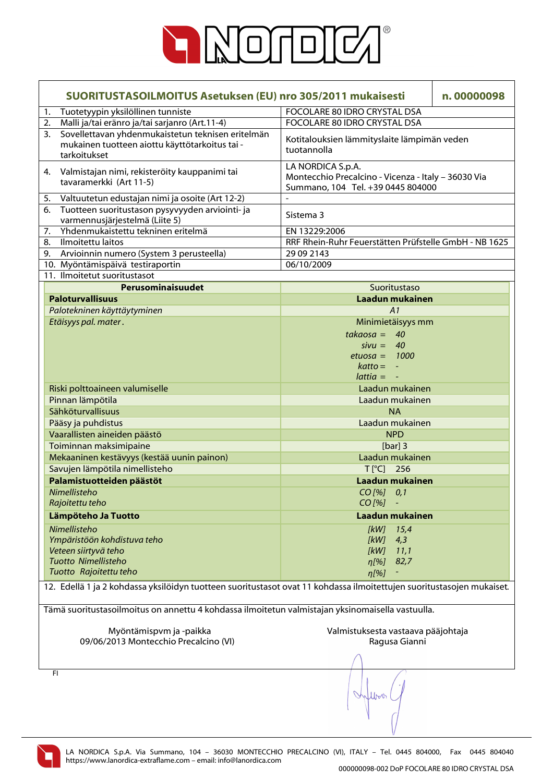

| SUORITUSTASOILMOITUS Asetuksen (EU) nro 305/2011 mukaisesti                                                           | n.00000098                                                                                                    |  |  |  |
|-----------------------------------------------------------------------------------------------------------------------|---------------------------------------------------------------------------------------------------------------|--|--|--|
| Tuotetyypin yksilöllinen tunniste<br>1.                                                                               | FOCOLARE 80 IDRO CRYSTAL DSA                                                                                  |  |  |  |
| Malli ja/tai eränro ja/tai sarjanro (Art.11-4)<br>2.<br>Sovellettavan yhdenmukaistetun teknisen eritelmän<br>3.       | FOCOLARE 80 IDRO CRYSTAL DSA                                                                                  |  |  |  |
| mukainen tuotteen aiottu käyttötarkoitus tai -<br>tarkoitukset                                                        | Kotitalouksien lämmityslaite lämpimän veden<br>tuotannolla                                                    |  |  |  |
| Valmistajan nimi, rekisteröity kauppanimi tai<br>4.<br>tavaramerkki (Art 11-5)                                        | LA NORDICA S.p.A.<br>Montecchio Precalcino - Vicenza - Italy - 36030 Via<br>Summano, 104 Tel. +39 0445 804000 |  |  |  |
| Valtuutetun edustajan nimi ja osoite (Art 12-2)<br>5.                                                                 |                                                                                                               |  |  |  |
| Tuotteen suoritustason pysyvyyden arviointi- ja<br>6.<br>varmennusjärjestelmä (Liite 5)                               | Sistema 3                                                                                                     |  |  |  |
| Yhdenmukaistettu tekninen eritelmä<br>7.                                                                              | EN 13229:2006                                                                                                 |  |  |  |
| Ilmoitettu laitos<br>8.                                                                                               | RRF Rhein-Ruhr Feuerstätten Prüfstelle GmbH - NB 1625                                                         |  |  |  |
| Arvioinnin numero (System 3 perusteella)<br>9.                                                                        | 29 09 2143                                                                                                    |  |  |  |
| 10. Myöntämispäivä testiraportin                                                                                      | 06/10/2009                                                                                                    |  |  |  |
| 11. Ilmoitetut suoritustasot                                                                                          |                                                                                                               |  |  |  |
| Perusominaisuudet                                                                                                     | Suoritustaso                                                                                                  |  |  |  |
| <b>Paloturvallisuus</b>                                                                                               | Laadun mukainen                                                                                               |  |  |  |
| Palotekninen käyttäytyminen                                                                                           | A1                                                                                                            |  |  |  |
| Etäisyys pal. mater.                                                                                                  | Minimietäisyys mm                                                                                             |  |  |  |
|                                                                                                                       | $takaosa =$<br>40                                                                                             |  |  |  |
|                                                                                                                       | $sivu =$<br>40                                                                                                |  |  |  |
|                                                                                                                       | $etuosa = 1000$                                                                                               |  |  |  |
|                                                                                                                       | $katto = -$                                                                                                   |  |  |  |
|                                                                                                                       | $lattice = -$                                                                                                 |  |  |  |
| Riski polttoaineen valumiselle                                                                                        | Laadun mukainen                                                                                               |  |  |  |
| Pinnan lämpötila                                                                                                      | Laadun mukainen                                                                                               |  |  |  |
| Sähköturvallisuus                                                                                                     | <b>NA</b>                                                                                                     |  |  |  |
| Pääsy ja puhdistus<br>Laadun mukainen                                                                                 |                                                                                                               |  |  |  |
| Vaarallisten aineiden päästö<br><b>NPD</b>                                                                            |                                                                                                               |  |  |  |
| Toiminnan maksimipaine                                                                                                | [ $bar]$ ] 3                                                                                                  |  |  |  |
| Mekaaninen kestävyys (kestää uunin painon)                                                                            | Laadun mukainen                                                                                               |  |  |  |
| Savujen lämpötila nimellisteho                                                                                        | $T[^{\circ}C]$ 256                                                                                            |  |  |  |
| Palamistuotteiden päästöt                                                                                             | Laadun mukainen                                                                                               |  |  |  |
| Nimellisteho                                                                                                          | $CO$ [%] $0,1$                                                                                                |  |  |  |
| Rajoitettu teho                                                                                                       | $CO$ [%]                                                                                                      |  |  |  |
| Lämpöteho Ja Tuotto                                                                                                   | Laadun mukainen                                                                                               |  |  |  |
| Nimellisteho                                                                                                          | [kW]<br>15,4                                                                                                  |  |  |  |
| Ympäristöön kohdistuva teho                                                                                           | [kW]<br>4,3                                                                                                   |  |  |  |
| Veteen siirtyvä teho                                                                                                  | [kW]<br>11,1                                                                                                  |  |  |  |
| <b>Tuotto Nimellisteho</b>                                                                                            | 82,7<br>$\eta$ [%]                                                                                            |  |  |  |
| Tuotto Rajoitettu teho                                                                                                | $\eta$ [%]                                                                                                    |  |  |  |
| 12. Edellä 1 ja 2 kohdassa yksilöidyn tuotteen suoritustasot ovat 11 kohdassa ilmoitettujen suoritustasojen mukaiset. |                                                                                                               |  |  |  |
|                                                                                                                       | Tämä suoritustasoilmoitus on annettu 4 kohdassa ilmoitetun valmistajan yksinomaisella vastuulla.              |  |  |  |
| Myöntämispvm ja -paikka                                                                                               | Valmistuksesta vastaava pääjohtaja                                                                            |  |  |  |
| 09/06/2013 Montecchio Precalcino (VI)                                                                                 | Ragusa Gianni                                                                                                 |  |  |  |
|                                                                                                                       |                                                                                                               |  |  |  |
| FI                                                                                                                    |                                                                                                               |  |  |  |
|                                                                                                                       | Willow                                                                                                        |  |  |  |

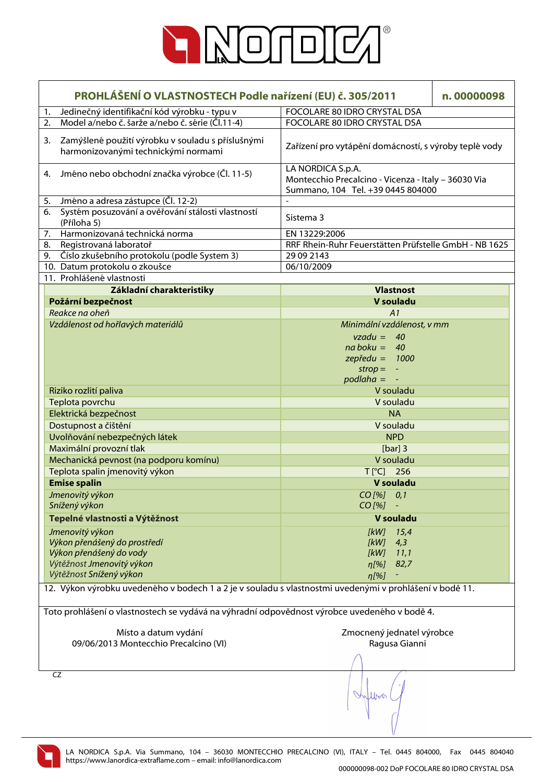

| PROHLÁŠENÍ O VLASTNOSTECH Podle nařízení (EU) č. 305/2011                                               |                                                                                              |                                                                                                               | n.00000098    |  |
|---------------------------------------------------------------------------------------------------------|----------------------------------------------------------------------------------------------|---------------------------------------------------------------------------------------------------------------|---------------|--|
| 1.                                                                                                      | Jedinečný identifikační kód výrobku - typu v                                                 | FOCOLARE 80 IDRO CRYSTAL DSA                                                                                  |               |  |
| 2.                                                                                                      | Model a/nebo č. šarže a/nebo č. série (Čl.11-4)                                              | FOCOLARE 80 IDRO CRYSTAL DSA                                                                                  |               |  |
| 3.                                                                                                      | Zamýšlené použití výrobku v souladu s příslušnými<br>harmonizovanými technickými normami     | Zařízení pro vytápění domácností, s výroby teplé vody                                                         |               |  |
| 4.                                                                                                      | Jméno nebo obchodní značka výrobce (Čl. 11-5)                                                | LA NORDICA S.p.A.<br>Montecchio Precalcino - Vicenza - Italy - 36030 Via<br>Summano, 104 Tel. +39 0445 804000 |               |  |
| 5.                                                                                                      | Jméno a adresa zástupce (Čl. 12-2)                                                           |                                                                                                               |               |  |
| 6.<br>(Příloha 5)                                                                                       | Systém posuzování a ověřování stálosti vlastností                                            | Sistema 3                                                                                                     |               |  |
| 7.                                                                                                      | Harmonizovaná technická norma                                                                | EN 13229:2006                                                                                                 |               |  |
| Registrovaná laboratoř<br>8.                                                                            |                                                                                              | RRF Rhein-Ruhr Feuerstätten Prüfstelle GmbH - NB 1625                                                         |               |  |
| 9.                                                                                                      | Číslo zkušebního protokolu (podle System 3)                                                  | 29 09 2143                                                                                                    |               |  |
| 10. Datum protokolu o zkoušce                                                                           |                                                                                              | 06/10/2009                                                                                                    |               |  |
| 11. Prohlášené vlastnosti                                                                               |                                                                                              |                                                                                                               |               |  |
|                                                                                                         | Základní charakteristiky                                                                     | <b>Vlastnost</b>                                                                                              |               |  |
| Požární bezpečnost                                                                                      |                                                                                              | V souladu                                                                                                     |               |  |
| Reakce na oheň                                                                                          |                                                                                              | A1                                                                                                            |               |  |
| Vzdálenost od hořlavých materiálů                                                                       |                                                                                              | Minimální vzdálenost, v mm                                                                                    |               |  |
|                                                                                                         |                                                                                              | $vzadu = 40$<br>$na boku = 40$<br>$z$ epředu = 1000<br>$strop = -$<br>$p$ odlaha = $-$                        |               |  |
| Riziko rozlití paliva                                                                                   |                                                                                              | V souladu                                                                                                     |               |  |
| Teplota povrchu<br>V souladu                                                                            |                                                                                              |                                                                                                               |               |  |
| Elektrická bezpečnost                                                                                   | <b>NA</b>                                                                                    |                                                                                                               |               |  |
| Dostupnost a čištění                                                                                    |                                                                                              | V souladu                                                                                                     |               |  |
| Uvolňování nebezpečných látek                                                                           |                                                                                              | <b>NPD</b>                                                                                                    |               |  |
| Maximální provozní tlak                                                                                 |                                                                                              | [ $bar]$ ] 3                                                                                                  |               |  |
|                                                                                                         | Mechanická pevnost (na podporu komínu)                                                       | V souladu                                                                                                     |               |  |
|                                                                                                         |                                                                                              | $T[^{\circ}C]$ 256                                                                                            |               |  |
| Teplota spalin jmenovitý výkon                                                                          |                                                                                              |                                                                                                               |               |  |
| <b>Emise spalin</b>                                                                                     |                                                                                              | V souladu                                                                                                     |               |  |
| Jmenovitý výkon<br>Snížený výkon                                                                        |                                                                                              | CO [%] 0,1<br>$CO [%] -$                                                                                      |               |  |
| Tepelné vlastnosti a Výtěžnost                                                                          |                                                                                              |                                                                                                               | V souladu     |  |
| Jmenovitý výkon                                                                                         |                                                                                              | [kW]                                                                                                          | 15,4          |  |
| Výkon přenášený do prostředí                                                                            |                                                                                              | [kW]                                                                                                          | 4,3           |  |
| Výkon přenášený do vody                                                                                 |                                                                                              | [kW]                                                                                                          | 11,1          |  |
| Výtěžnost Jmenovitý výkon                                                                               |                                                                                              | $\eta$ [%]                                                                                                    | 82,7          |  |
| Výtěžnost Snížený výkon                                                                                 |                                                                                              | $\eta$ [%]                                                                                                    |               |  |
| 12. Výkon výrobku uvedeného v bodech 1 a 2 je v souladu s vlastnostmi uvedenými v prohlášení v bodě 11. |                                                                                              |                                                                                                               |               |  |
|                                                                                                         | Toto prohlášení o vlastnostech se vydává na výhradní odpovědnost výrobce uvedeného v bodě 4. |                                                                                                               |               |  |
|                                                                                                         | Místo a datum vydání<br>09/06/2013 Montecchio Precalcino (VI)                                | Zmocnený jednatel výrobce                                                                                     | Ragusa Gianni |  |
| CZ                                                                                                      |                                                                                              |                                                                                                               |               |  |

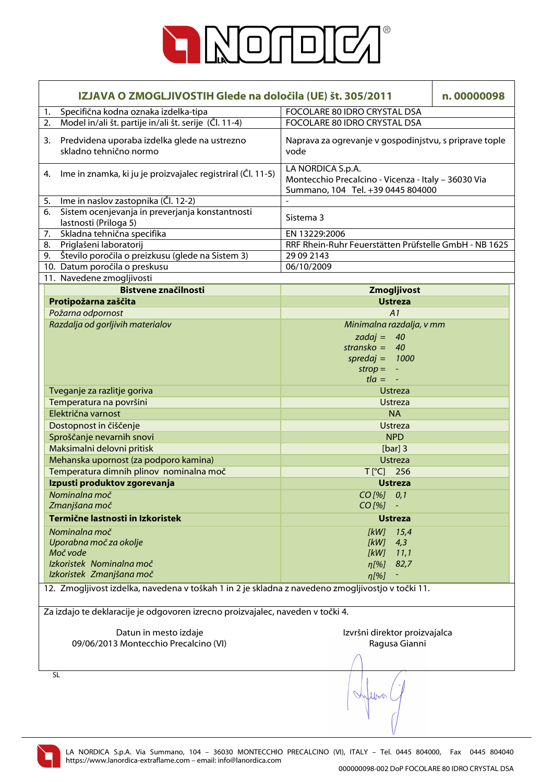

| IZJAVA O ZMOGLJIVOSTIH Glede na določila (UE) št. 305/2011                                        |                                                                                |                                                                                                               | n.00000098     |  |
|---------------------------------------------------------------------------------------------------|--------------------------------------------------------------------------------|---------------------------------------------------------------------------------------------------------------|----------------|--|
| Specifična kodna oznaka izdelka-tipa<br>1.                                                        |                                                                                | FOCOLARE 80 IDRO CRYSTAL DSA                                                                                  |                |  |
| Model in/ali št. partije in/ali št. serije (Čl. 11-4)<br>2.                                       |                                                                                | FOCOLARE 80 IDRO CRYSTAL DSA                                                                                  |                |  |
| Predvidena uporaba izdelka glede na ustrezno<br>3.<br>skladno tehnično normo                      |                                                                                | Naprava za ogrevanje v gospodinjstvu, s priprave tople<br>vode                                                |                |  |
| 4.                                                                                                | Ime in znamka, ki ju je proizvajalec registriral (Čl. 11-5)                    | LA NORDICA S.p.A.<br>Montecchio Precalcino - Vicenza - Italy - 36030 Via<br>Summano, 104 Tel. +39 0445 804000 |                |  |
| Ime in naslov zastopnika (Čl. 12-2)<br>5.                                                         |                                                                                |                                                                                                               |                |  |
| Sistem ocenjevanja in preverjanja konstantnosti<br>6.<br>lastnosti (Priloga 5)                    |                                                                                | Sistema 3                                                                                                     |                |  |
| Skladna tehnična specifika<br>7.                                                                  |                                                                                | EN 13229:2006                                                                                                 |                |  |
| 8. Priglašeni laboratorij                                                                         |                                                                                | RRF Rhein-Ruhr Feuerstätten Prüfstelle GmbH - NB 1625                                                         |                |  |
| 9. Število poročila o preizkusu (glede na Sistem 3)                                               |                                                                                | 29 09 2143                                                                                                    |                |  |
| 10. Datum poročila o preskusu                                                                     |                                                                                | 06/10/2009                                                                                                    |                |  |
| 11. Navedene zmogljivosti                                                                         |                                                                                |                                                                                                               |                |  |
|                                                                                                   | <b>Bistvene značilnosti</b>                                                    |                                                                                                               | Zmogljivost    |  |
| Protipožarna zaščita                                                                              |                                                                                |                                                                                                               | <b>Ustreza</b> |  |
| Požarna odpornost                                                                                 |                                                                                |                                                                                                               | A1             |  |
| Razdalja od gorljivih materialov                                                                  |                                                                                | Minimalna razdalja, v mm<br>zadaj = $40$<br>stransko = $40$<br>spredaj = $1000$<br>$strop = -$<br>$t/a = -$   |                |  |
| Tveganje za razlitje goriva                                                                       |                                                                                |                                                                                                               | <b>Ustreza</b> |  |
| Temperatura na površini                                                                           | <b>Ustreza</b>                                                                 |                                                                                                               |                |  |
| Električna varnost<br><b>NA</b>                                                                   |                                                                                |                                                                                                               |                |  |
| Dostopnost in čiščenje<br><b>Ustreza</b>                                                          |                                                                                |                                                                                                               |                |  |
| Sproščanje nevarnih snovi<br><b>NPD</b>                                                           |                                                                                |                                                                                                               |                |  |
| Maksimalni delovni pritisk                                                                        |                                                                                |                                                                                                               | [ $bar]$ ] 3   |  |
| Mehanska upornost (za podporo kamina)                                                             |                                                                                |                                                                                                               | <b>Ustreza</b> |  |
| Temperatura dimnih plinov nominalna moč                                                           |                                                                                | T[°C] 256                                                                                                     |                |  |
| Izpusti produktov zgorevanja                                                                      |                                                                                |                                                                                                               | <b>Ustreza</b> |  |
| Nominalna moč<br>Zmanjšana moč                                                                    |                                                                                | CO [%] 0,1<br>CO [%]                                                                                          |                |  |
| Termične lastnosti in Izkoristek                                                                  |                                                                                |                                                                                                               | <b>Ustreza</b> |  |
| Nominalna moč                                                                                     |                                                                                | [kW]                                                                                                          | 15,4           |  |
| Uporabna moč za okolje                                                                            |                                                                                | [kW]                                                                                                          | 4,3            |  |
| Moč vode                                                                                          |                                                                                | [kW]                                                                                                          | 11,1           |  |
| Izkoristek Nominalna moč                                                                          |                                                                                | $n[\%]$                                                                                                       | 82,7           |  |
| Izkoristek Zmanjšana moč                                                                          |                                                                                | $\eta$ [%]                                                                                                    |                |  |
| 12. Zmogljivost izdelka, navedena v toškah 1 in 2 je skladna z navedeno zmogljivostjo v točki 11. |                                                                                |                                                                                                               |                |  |
|                                                                                                   | Za izdajo te deklaracije je odgovoren izrecno proizvajalec, naveden v točki 4. |                                                                                                               |                |  |
|                                                                                                   |                                                                                |                                                                                                               |                |  |
|                                                                                                   | Datun in mesto izdaje                                                          | Izvršni direktor proizvajalca                                                                                 |                |  |
| 09/06/2013 Montecchio Precalcino (VI)                                                             |                                                                                |                                                                                                               | Ragusa Gianni  |  |
|                                                                                                   |                                                                                |                                                                                                               |                |  |
| <b>SL</b>                                                                                         |                                                                                |                                                                                                               |                |  |
|                                                                                                   |                                                                                |                                                                                                               |                |  |

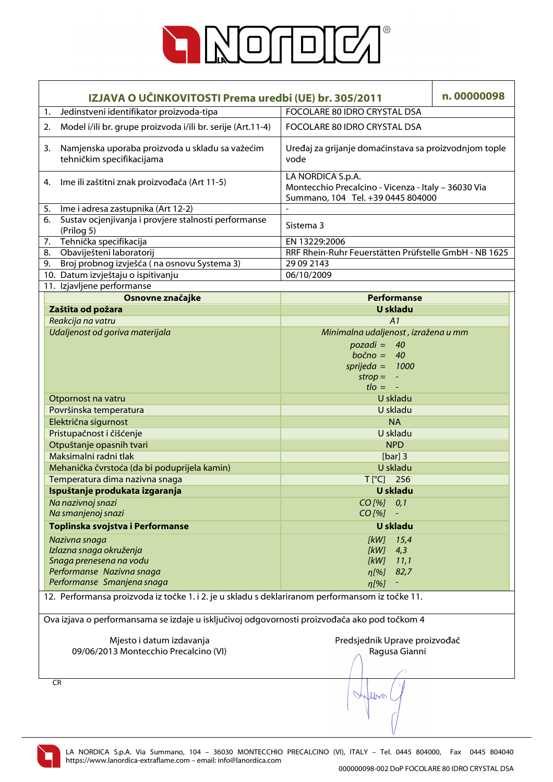

| IZJAVA O UČINKOVITOSTI Prema uredbi (UE) br. 305/2011                                           |                                                                                                               | n.00000098 |
|-------------------------------------------------------------------------------------------------|---------------------------------------------------------------------------------------------------------------|------------|
| Jedinstveni identifikator proizvoda-tipa<br>1.                                                  | FOCOLARE 80 IDRO CRYSTAL DSA                                                                                  |            |
| Model i/ili br. grupe proizvoda i/ili br. serije (Art.11-4)<br>2.                               | FOCOLARE 80 IDRO CRYSTAL DSA                                                                                  |            |
| Namjenska uporaba proizvoda u skladu sa važećim<br>3.<br>tehničkim specifikacijama              | Uređaj za grijanje domaćinstava sa proizvodnjom tople<br>vode                                                 |            |
| Ime ili zaštitni znak proizvođača (Art 11-5)<br>4.                                              | LA NORDICA S.p.A.<br>Montecchio Precalcino - Vicenza - Italy - 36030 Via<br>Summano, 104 Tel. +39 0445 804000 |            |
| Ime i adresa zastupnika (Art 12-2)<br>5.                                                        |                                                                                                               |            |
| Sustav ocjenjivanja i provjere stalnosti performanse<br>6.<br>(Prilog 5)                        | Sistema 3                                                                                                     |            |
| 7. Tehnička specifikacija                                                                       | EN 13229:2006                                                                                                 |            |
| Obaviješteni laboratorij<br>8.                                                                  | RRF Rhein-Ruhr Feuerstätten Prüfstelle GmbH - NB 1625                                                         |            |
| 9. Broj probnog izvješća (na osnovu Systema 3)                                                  | 29 09 2143                                                                                                    |            |
| 10. Datum izvještaju o ispitivanju                                                              | 06/10/2009                                                                                                    |            |
| 11. Izjavljene performanse                                                                      |                                                                                                               |            |
| Osnovne značajke                                                                                | <b>Performanse</b>                                                                                            |            |
| Zaštita od požara                                                                               | <b>U</b> skladu                                                                                               |            |
| Reakcija na vatru                                                                               | A1                                                                                                            |            |
| Udaljenost od goriva materijala                                                                 | Minimalna udaljenost, izražena u mm                                                                           |            |
|                                                                                                 | $pozadi = 40$                                                                                                 |            |
|                                                                                                 | $bočno = 40$                                                                                                  |            |
|                                                                                                 | sprijeda = $1000$                                                                                             |            |
|                                                                                                 | $strop = -$                                                                                                   |            |
|                                                                                                 | $t$ lo = $-$                                                                                                  |            |
| Otpornost na vatru                                                                              | U skladu                                                                                                      |            |
| Površinska temperatura                                                                          | U skladu                                                                                                      |            |
| Električna sigurnost                                                                            | <b>NA</b>                                                                                                     |            |
| Pristupačnost i čišćenje                                                                        | U skladu                                                                                                      |            |
| Otpuštanje opasnih tvari                                                                        | <b>NPD</b>                                                                                                    |            |
| Maksimalni radni tlak                                                                           | [ $bar]$ ] 3                                                                                                  |            |
| Mehanička čvrstoća (da bi poduprijela kamin)                                                    | U skladu                                                                                                      |            |
| Temperatura dima nazivna snaga                                                                  | $T[^{\circ}C]$ 256                                                                                            |            |
| Ispuštanje produkata izgaranja                                                                  | U skladu                                                                                                      |            |
| Na nazivnoj snazi                                                                               | CO [%] 0,1                                                                                                    |            |
| Na smanjenoj snazi                                                                              | $CO$ [%]                                                                                                      |            |
| Toplinska svojstva i Performanse                                                                | <b>U</b> skladu                                                                                               |            |
| Nazivna snaga                                                                                   | 15,4<br>[kW]                                                                                                  |            |
| Izlazna snaga okruženja                                                                         | [kW]<br>4,3                                                                                                   |            |
| Snaga prenesena na vodu                                                                         | [kW]<br>11,1                                                                                                  |            |
| Performanse Nazivna snaga                                                                       | 82,7<br>$\eta$ [%]                                                                                            |            |
| Performanse Smanjena snaga                                                                      | $\eta$ [%]                                                                                                    |            |
| 12. Performansa proizvoda iz točke 1. i 2. je u skladu s deklariranom performansom iz točke 11. |                                                                                                               |            |
| Ova izjava o performansama se izdaje u isključivoj odgovornosti proizvođača ako pod točkom 4    |                                                                                                               |            |
| Mjesto i datum izdavanja                                                                        | Predsjednik Uprave proizvođač                                                                                 |            |
| 09/06/2013 Montecchio Precalcino (VI)                                                           | Ragusa Gianni                                                                                                 |            |
|                                                                                                 |                                                                                                               |            |
| CR                                                                                              |                                                                                                               |            |
|                                                                                                 | Inflow                                                                                                        |            |

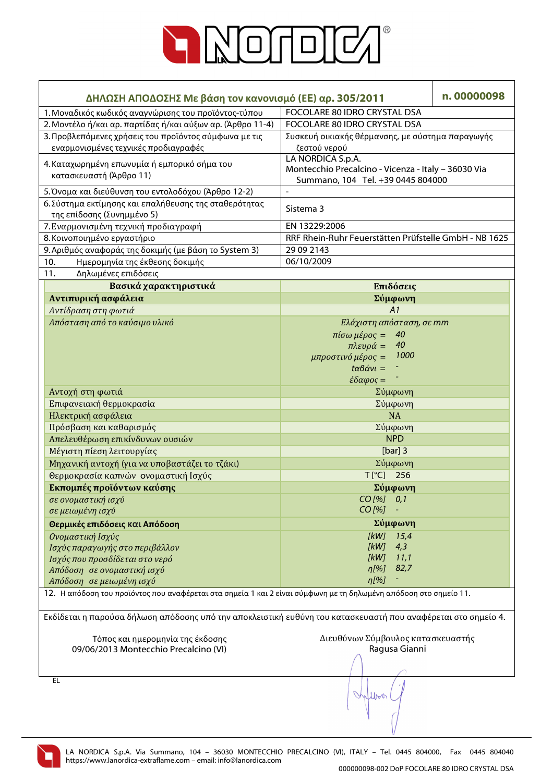

| ΔΗΛΩΣΗ ΑΠΟΔΟΣΗΣ Με βάση τον κανονισμό (ΕΕ) αρ. 305/2011                                                           |                                                       | n.00000098 |
|-------------------------------------------------------------------------------------------------------------------|-------------------------------------------------------|------------|
| 1. Μοναδικός κωδικός αναγνώρισης του προϊόντος-τύπου                                                              | FOCOLARE 80 IDRO CRYSTAL DSA                          |            |
| 2. Μοντέλο ή/και αρ. παρτίδας ή/και αύξων αρ. (Άρθρο 11-4)                                                        | FOCOLARE 80 IDRO CRYSTAL DSA                          |            |
| 3. Προβλεπόμενες χρήσεις του προϊόντος σύμφωνα με τις                                                             | Συσκευή οικιακής θέρμανσης, με σύστημα παραγωγής      |            |
| εναρμονισμένες τεχνικές προδιαγραφές                                                                              | ζεστού νερού                                          |            |
| 4. Καταχωρημένη επωνυμία ή εμπορικό σήμα του                                                                      | LA NORDICA S.p.A.                                     |            |
| κατασκευαστή (Άρθρο 11)                                                                                           | Montecchio Precalcino - Vicenza - Italy - 36030 Via   |            |
|                                                                                                                   | Summano, 104 Tel. +39 0445 804000                     |            |
| 5. Όνομα και διεύθυνση του εντολοδόχου (Άρθρο 12-2)                                                               |                                                       |            |
| 6. Σύστημα εκτίμησης και επαλήθευσης της σταθερότητας                                                             | Sistema 3                                             |            |
| της επίδοσης (Συνημμένο 5)                                                                                        | EN 13229:2006                                         |            |
| 7. Εναρμονισμένη τεχνική προδιαγραφή<br>8. Κοινοποιημένο εργαστήριο                                               | RRF Rhein-Ruhr Feuerstätten Prüfstelle GmbH - NB 1625 |            |
| 9. Αριθμός αναφοράς της δοκιμής (με βάση το System 3)                                                             | 29 09 2143                                            |            |
| 10.<br>Ημερομηνία της έκθεσης δοκιμής                                                                             | 06/10/2009                                            |            |
| Δηλωμένες επιδόσεις<br>11.                                                                                        |                                                       |            |
| Βασικά χαρακτηριστικά                                                                                             | Επιδόσεις                                             |            |
| Αντιπυρική ασφάλεια                                                                                               | Σύμφωνη                                               |            |
| Αντίδραση στη φωτιά                                                                                               | A1                                                    |            |
| Απόσταση από το καύσιμο υλικό                                                                                     | Ελάχιστη απόσταση, σε mm                              |            |
|                                                                                                                   | 40<br>$πίσω μέρος =$                                  |            |
|                                                                                                                   | 40<br>$πλευρά =$                                      |            |
|                                                                                                                   | 1000<br>μπροστινό μέρος =                             |            |
|                                                                                                                   | $t\alpha\beta\dot{\alpha}v\iota =$                    |            |
|                                                                                                                   | $\epsilon \delta \alpha \varphi$ ος =                 |            |
| Αντοχή στη φωτιά                                                                                                  | Σύμφωνη                                               |            |
| Επιφανειακή θερμοκρασία                                                                                           | Σύμφωνη                                               |            |
| Ηλεκτρική ασφάλεια                                                                                                | <b>NA</b>                                             |            |
| Πρόσβαση και καθαρισμός                                                                                           | Σύμφωνη                                               |            |
| Απελευθέρωση επικίνδυνων ουσιών                                                                                   | <b>NPD</b>                                            |            |
| Μέγιστη πίεση λειτουργίας                                                                                         | [ $bar]$ ] 3                                          |            |
| Μηχανική αντοχή (για να υποβαστάζει το τζάκι)                                                                     | Σύμφωνη                                               |            |
| Θερμοκρασία καπνών ονομαστική Ισχύς                                                                               | T[°C] 256                                             |            |
| Εκπομπές προϊόντων καύσης                                                                                         | Σύμφωνη                                               |            |
| σε ονομαστική ισχύ                                                                                                | CO [%]<br>0,1                                         |            |
| σε μειωμένη ισχύ                                                                                                  | $CO$ [%]                                              |            |
| Θερμικές επιδόσεις και Απόδοση                                                                                    | Σύμφωνη                                               |            |
| Ονομαστική Ισχύς                                                                                                  | [kW]<br>15,4                                          |            |
| Ισχύς παραγωγής στο περιβάλλον                                                                                    | [kW]<br>4,3                                           |            |
| Ισχύς που προσδίδεται στο νερό                                                                                    | [kW]<br>11,1                                          |            |
| Απόδοση σε ονομαστική ισχύ                                                                                        | 82,7<br>$\eta$ [%]                                    |            |
| Απόδοση σε μειωμένη ισχύ                                                                                          | $\eta$ [%]                                            |            |
| 12. Η απόδοση του προϊόντος που αναφέρεται στα σημεία 1 και 2 είναι σύμφωνη με τη δηλωμένη απόδοση στο σημείο 11. |                                                       |            |
| Εκδίδεται η παρούσα δήλωση απόδοσης υπό την αποκλειστική ευθύνη του κατασκευαστή που αναφέρεται στο σημείο 4.     |                                                       |            |
| Τόπος και ημερομηνία της έκδοσης                                                                                  | Διευθύνων Σύμβουλος κατασκευαστής                     |            |
| 09/06/2013 Montecchio Precalcino (VI)                                                                             | Ragusa Gianni                                         |            |
|                                                                                                                   |                                                       |            |
|                                                                                                                   |                                                       |            |
| EL                                                                                                                |                                                       |            |

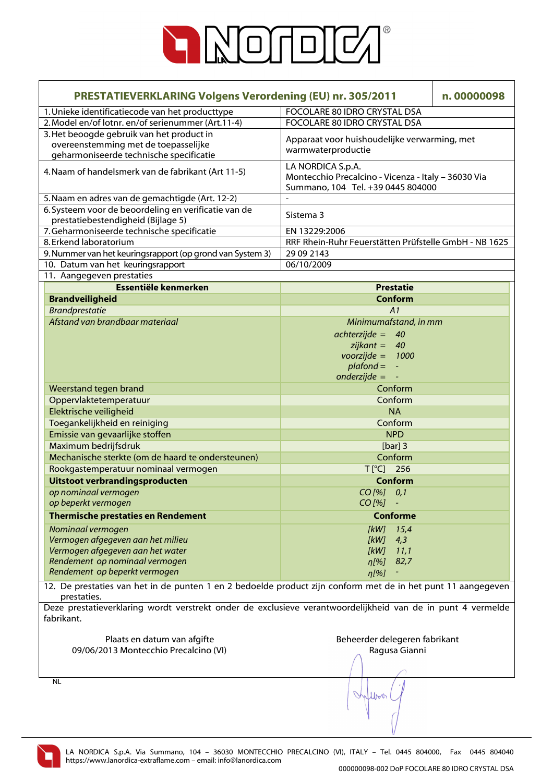

| <b>PRESTATIEVERKLARING Volgens Verordening (EU) nr. 305/2011</b>                                                             |                                                                                                               | n.00000098 |
|------------------------------------------------------------------------------------------------------------------------------|---------------------------------------------------------------------------------------------------------------|------------|
| 1. Unieke identificatiecode van het producttype                                                                              | FOCOLARE 80 IDRO CRYSTAL DSA                                                                                  |            |
| 2. Model en/of lotnr. en/of serienummer (Art.11-4)                                                                           | FOCOLARE 80 IDRO CRYSTAL DSA                                                                                  |            |
| 3. Het beoogde gebruik van het product in<br>overeenstemming met de toepasselijke<br>geharmoniseerde technische specificatie | Apparaat voor huishoudelijke verwarming, met<br>warmwaterproductie                                            |            |
| 4. Naam of handelsmerk van de fabrikant (Art 11-5)                                                                           | LA NORDICA S.p.A.<br>Montecchio Precalcino - Vicenza - Italy - 36030 Via<br>Summano, 104 Tel. +39 0445 804000 |            |
| 5. Naam en adres van de gemachtigde (Art. 12-2)                                                                              |                                                                                                               |            |
| 6. Systeem voor de beoordeling en verificatie van de                                                                         | Sistema 3                                                                                                     |            |
| prestatiebestendigheid (Bijlage 5)                                                                                           |                                                                                                               |            |
| 7. Geharmoniseerde technische specificatie                                                                                   | EN 13229:2006                                                                                                 |            |
| 8. Erkend laboratorium                                                                                                       | RRF Rhein-Ruhr Feuerstätten Prüfstelle GmbH - NB 1625                                                         |            |
| 9. Nummer van het keuringsrapport (op grond van System 3)                                                                    | 29 09 2143                                                                                                    |            |
| 10. Datum van het keuringsrapport                                                                                            | 06/10/2009                                                                                                    |            |
| 11. Aangegeven prestaties                                                                                                    |                                                                                                               |            |
| Essentiële kenmerken                                                                                                         | <b>Prestatie</b>                                                                                              |            |
| <b>Brandveiligheid</b>                                                                                                       | <b>Conform</b>                                                                                                |            |
| <b>Brandprestatie</b>                                                                                                        | A <sub>1</sub>                                                                                                |            |
| Afstand van brandbaar materiaal                                                                                              | Minimumafstand, in mm                                                                                         |            |
|                                                                                                                              | $achterzijde = 40$                                                                                            |            |
|                                                                                                                              | $zijkant =$<br>40                                                                                             |            |
|                                                                                                                              | $voorzijde =$<br>1000                                                                                         |            |
|                                                                                                                              | $plafond =$<br>$\blacksquare$                                                                                 |            |
|                                                                                                                              | $onderzijde =$                                                                                                |            |
| Weerstand tegen brand                                                                                                        | Conform                                                                                                       |            |
| Oppervlaktetemperatuur                                                                                                       | Conform                                                                                                       |            |
| Elektrische veiligheid                                                                                                       | <b>NA</b>                                                                                                     |            |
| Toegankelijkheid en reiniging                                                                                                | Conform                                                                                                       |            |
| Emissie van gevaarlijke stoffen                                                                                              | <b>NPD</b>                                                                                                    |            |
| Maximum bedrijfsdruk                                                                                                         | [ $bar]$ ] 3                                                                                                  |            |
| Mechanische sterkte (om de haard te ondersteunen)                                                                            | Conform                                                                                                       |            |
| Rookgastemperatuur nominaal vermogen                                                                                         | $T[^{\circ}C]$<br>256                                                                                         |            |
| Uitstoot verbrandingsproducten                                                                                               | Conform                                                                                                       |            |
| op nominaal vermogen                                                                                                         | $CO [$ % $] 0,1$                                                                                              |            |
| op beperkt vermogen                                                                                                          | CO [%]                                                                                                        |            |
| <b>Thermische prestaties en Rendement</b>                                                                                    | <b>Conforme</b>                                                                                               |            |
|                                                                                                                              |                                                                                                               |            |
| Nominaal vermogen                                                                                                            | [kW]<br>15,4                                                                                                  |            |
| Vermogen afgegeven aan het milieu                                                                                            | [kW]<br>4,3                                                                                                   |            |
| Vermogen afgegeven aan het water<br>Rendement op nominaal vermogen                                                           | [kW]<br>11,1                                                                                                  |            |
| Rendement op beperkt vermogen                                                                                                | 82,7<br>n[%]                                                                                                  |            |
|                                                                                                                              | $\eta$ [%]                                                                                                    |            |
| 12. De prestaties van het in de punten 1 en 2 bedoelde product zijn conform met de in het punt 11 aangegeven                 |                                                                                                               |            |
| prestaties.                                                                                                                  |                                                                                                               |            |
| Deze prestatieverklaring wordt verstrekt onder de exclusieve verantwoordelijkheid van de in punt 4 vermelde                  |                                                                                                               |            |
| fabrikant.                                                                                                                   |                                                                                                               |            |
| Plaats en datum van afgifte                                                                                                  | Beheerder delegeren fabrikant                                                                                 |            |
| 09/06/2013 Montecchio Precalcino (VI)                                                                                        | Ragusa Gianni                                                                                                 |            |
|                                                                                                                              |                                                                                                               |            |
|                                                                                                                              |                                                                                                               |            |
| <b>NL</b>                                                                                                                    |                                                                                                               |            |
|                                                                                                                              | Where                                                                                                         |            |
|                                                                                                                              |                                                                                                               |            |
|                                                                                                                              |                                                                                                               |            |

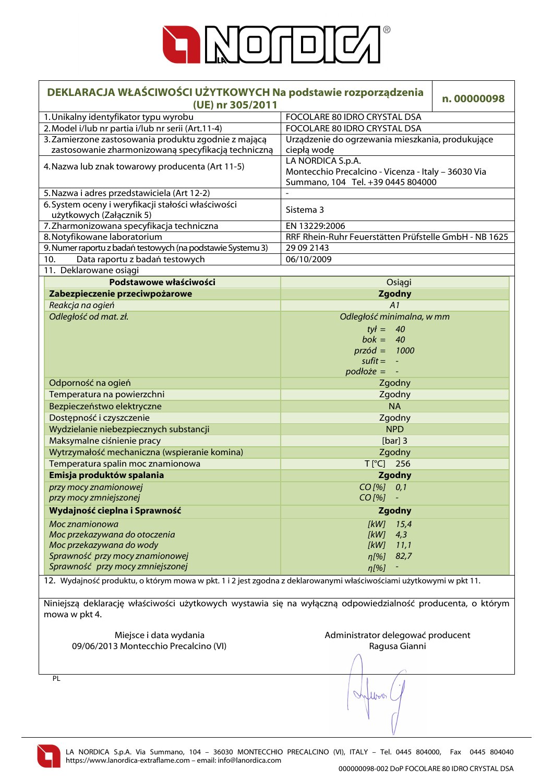

| DEKLARACJA WŁAŚCIWOŚCI UŻYTKOWYCH Na podstawie rozporządzenia<br>(UE) nr 305/2011                                  |                                                       | n.00000098 |
|--------------------------------------------------------------------------------------------------------------------|-------------------------------------------------------|------------|
| 1. Unikalny identyfikator typu wyrobu                                                                              | FOCOLARE 80 IDRO CRYSTAL DSA                          |            |
| 2. Model i/lub nr partia i/lub nr serii (Art.11-4)                                                                 | FOCOLARE 80 IDRO CRYSTAL DSA                          |            |
| 3. Zamierzone zastosowania produktu zgodnie z mającą                                                               | Urządzenie do ogrzewania mieszkania, produkujące      |            |
| zastosowanie zharmonizowaną specyfikacją techniczną                                                                | ciepłą wodę                                           |            |
|                                                                                                                    | LA NORDICA S.p.A.                                     |            |
| 4. Nazwa lub znak towarowy producenta (Art 11-5)                                                                   | Montecchio Precalcino - Vicenza - Italy - 36030 Via   |            |
|                                                                                                                    | Summano, 104 Tel. +39 0445 804000                     |            |
| 5. Nazwa i adres przedstawiciela (Art 12-2)                                                                        | $\overline{a}$                                        |            |
| 6. System oceny i weryfikacji stałości właściwości                                                                 | Sistema 3                                             |            |
| użytkowych (Załącznik 5)                                                                                           |                                                       |            |
| 7. Zharmonizowana specyfikacja techniczna                                                                          | EN 13229:2006                                         |            |
| 8. Notyfikowane laboratorium                                                                                       | RRF Rhein-Ruhr Feuerstätten Prüfstelle GmbH - NB 1625 |            |
| 9. Numer raportu z badań testowych (na podstawie Systemu 3)                                                        | 29 09 2143                                            |            |
| Data raportu z badań testowych<br>10.                                                                              | 06/10/2009                                            |            |
| 11. Deklarowane osiągi                                                                                             |                                                       |            |
| Podstawowe właściwości                                                                                             | Osiągi                                                |            |
| Zabezpieczenie przeciwpożarowe                                                                                     | <b>Zgodny</b>                                         |            |
| Reakcja na ogień                                                                                                   | A1                                                    |            |
| Odległość od mat. zł.                                                                                              | Odległość minimalna, w mm                             |            |
|                                                                                                                    | $tył = 40$                                            |            |
|                                                                                                                    | $bok = 40$                                            |            |
|                                                                                                                    | $przód = 1000$                                        |            |
|                                                                                                                    | $s$ ufit = $-$                                        |            |
|                                                                                                                    | $podłoże =$                                           |            |
| Odporność na ogień                                                                                                 | Zgodny                                                |            |
| Temperatura na powierzchni                                                                                         | Zgodny                                                |            |
| Bezpieczeństwo elektryczne                                                                                         | <b>NA</b>                                             |            |
|                                                                                                                    |                                                       |            |
| Dostępność i czyszczenie                                                                                           | Zgodny                                                |            |
| Wydzielanie niebezpiecznych substancji                                                                             | <b>NPD</b>                                            |            |
| Maksymalne ciśnienie pracy                                                                                         | [ $bar]$ ] 3                                          |            |
| Wytrzymałość mechaniczna (wspieranie komina)                                                                       | Zgodny                                                |            |
| Temperatura spalin moc znamionowa                                                                                  | T[°C] 256                                             |            |
| Emisja produktów spalania                                                                                          | <b>Zgodny</b>                                         |            |
| przy mocy znamionowej                                                                                              | CO [%] 0,1                                            |            |
| przy mocy zmniejszonej                                                                                             | $CO$ [%]                                              |            |
| Wydajność cieplna i Sprawność                                                                                      | Zgodny                                                |            |
| Moc znamionowa                                                                                                     | [kW]<br>15,4                                          |            |
| Moc przekazywana do otoczenia                                                                                      | [kW]<br>4,3                                           |            |
| Moc przekazywana do wody                                                                                           | [kW]<br>11,1                                          |            |
| Sprawność przy mocy znamionowej                                                                                    | n[%]<br>82,7                                          |            |
| Sprawność przy mocy zmniejszonej                                                                                   | n[%]                                                  |            |
| 12. Wydajność produktu, o którym mowa w pkt. 1 i 2 jest zgodna z deklarowanymi właściwościami użytkowymi w pkt 11. |                                                       |            |
|                                                                                                                    |                                                       |            |
| Niniejszą deklarację właściwości użytkowych wystawia się na wyłączną odpowiedzialność producenta, o którym         |                                                       |            |
| mowa w pkt 4.                                                                                                      |                                                       |            |
|                                                                                                                    |                                                       |            |
| Miejsce i data wydania                                                                                             | Administrator delegować producent                     |            |
| 09/06/2013 Montecchio Precalcino (VI)                                                                              | Ragusa Gianni                                         |            |
|                                                                                                                    |                                                       |            |
|                                                                                                                    |                                                       |            |
| PL                                                                                                                 |                                                       |            |
|                                                                                                                    |                                                       |            |
|                                                                                                                    | lbo                                                   |            |
|                                                                                                                    |                                                       |            |
|                                                                                                                    |                                                       |            |